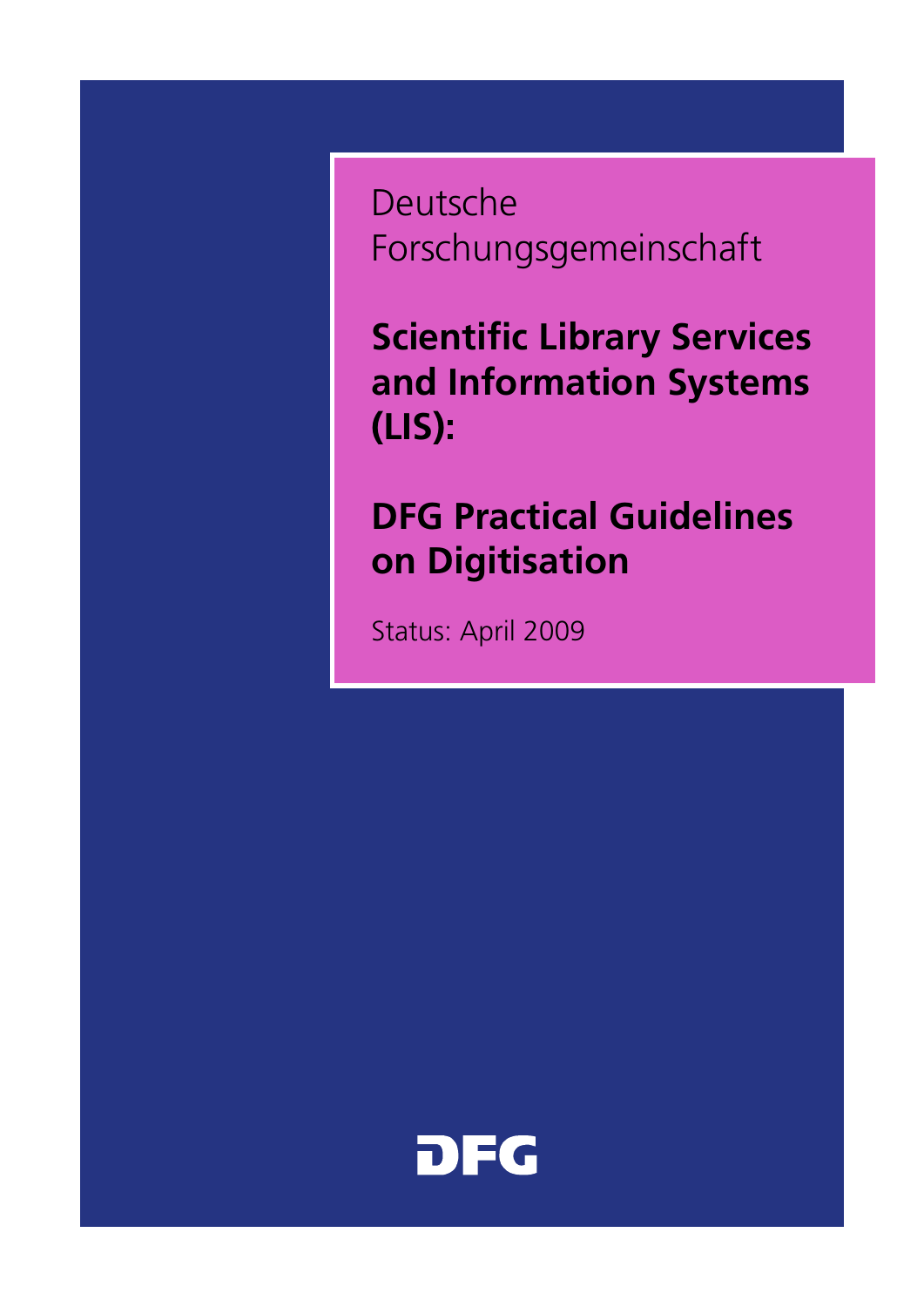Deutsche Forschungsgemeinschaft

**Scientific Library Services and Information Systems (LIS):**

# **DFG Practical Guidelines on Digitisation**

Status: April 2009

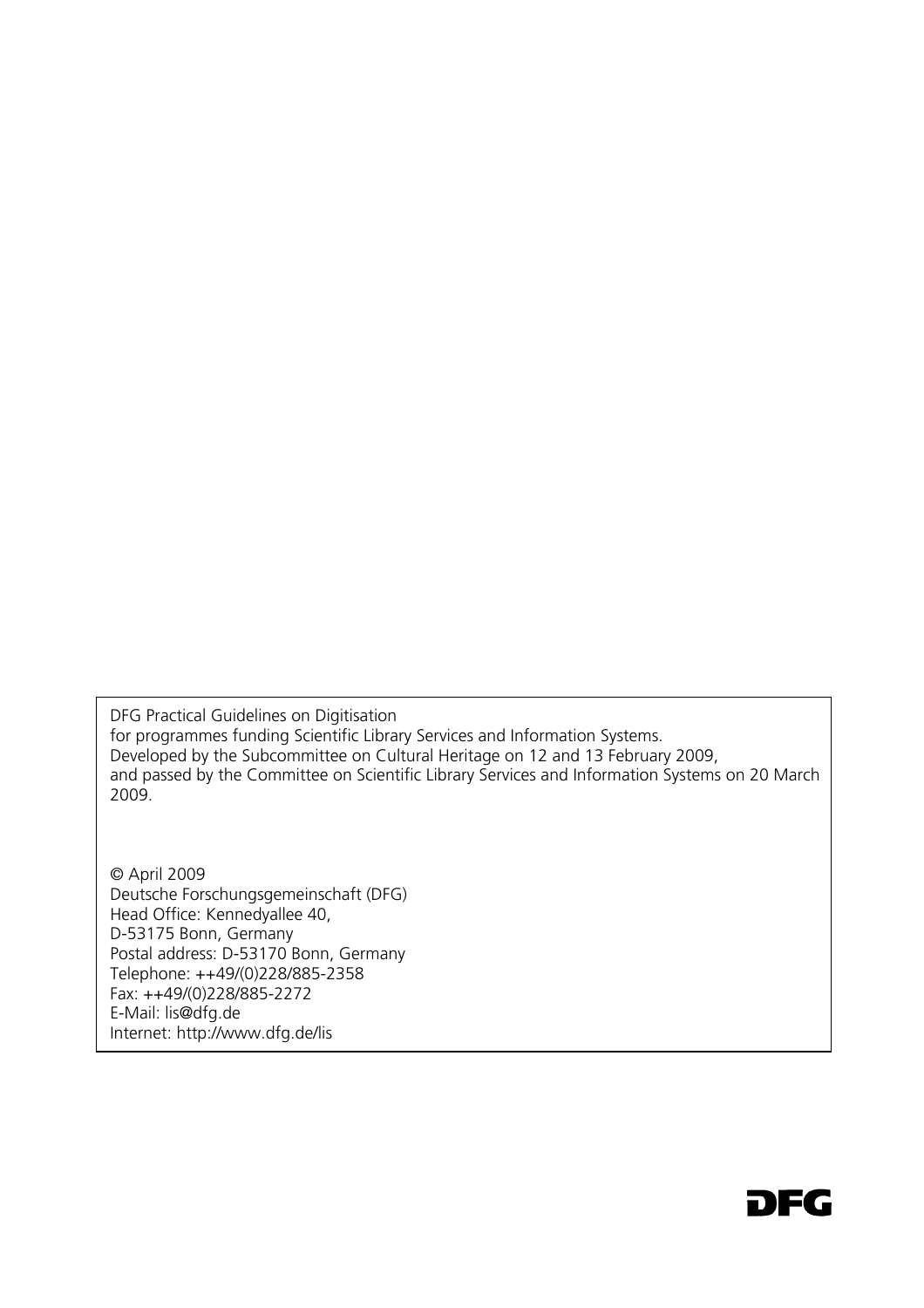DFG Practical Guidelines on Digitisation for programmes funding Scientific Library Services and Information Systems. Developed by the Subcommittee on Cultural Heritage on 12 and 13 February 2009, and passed by the Committee on Scientific Library Services and Information Systems on 20 March 2009.

© April 2009 Deutsche Forschungsgemeinschaft (DFG) Head Office: Kennedyallee 40, D-53175 Bonn, Germany Postal address: D-53170 Bonn, Germany Telephone: ++49/(0)228/885-2358 Fax: ++49/(0)228/885-2272 E-Mail: lis@dfq.de Internet: http://www.dfg.de/lis

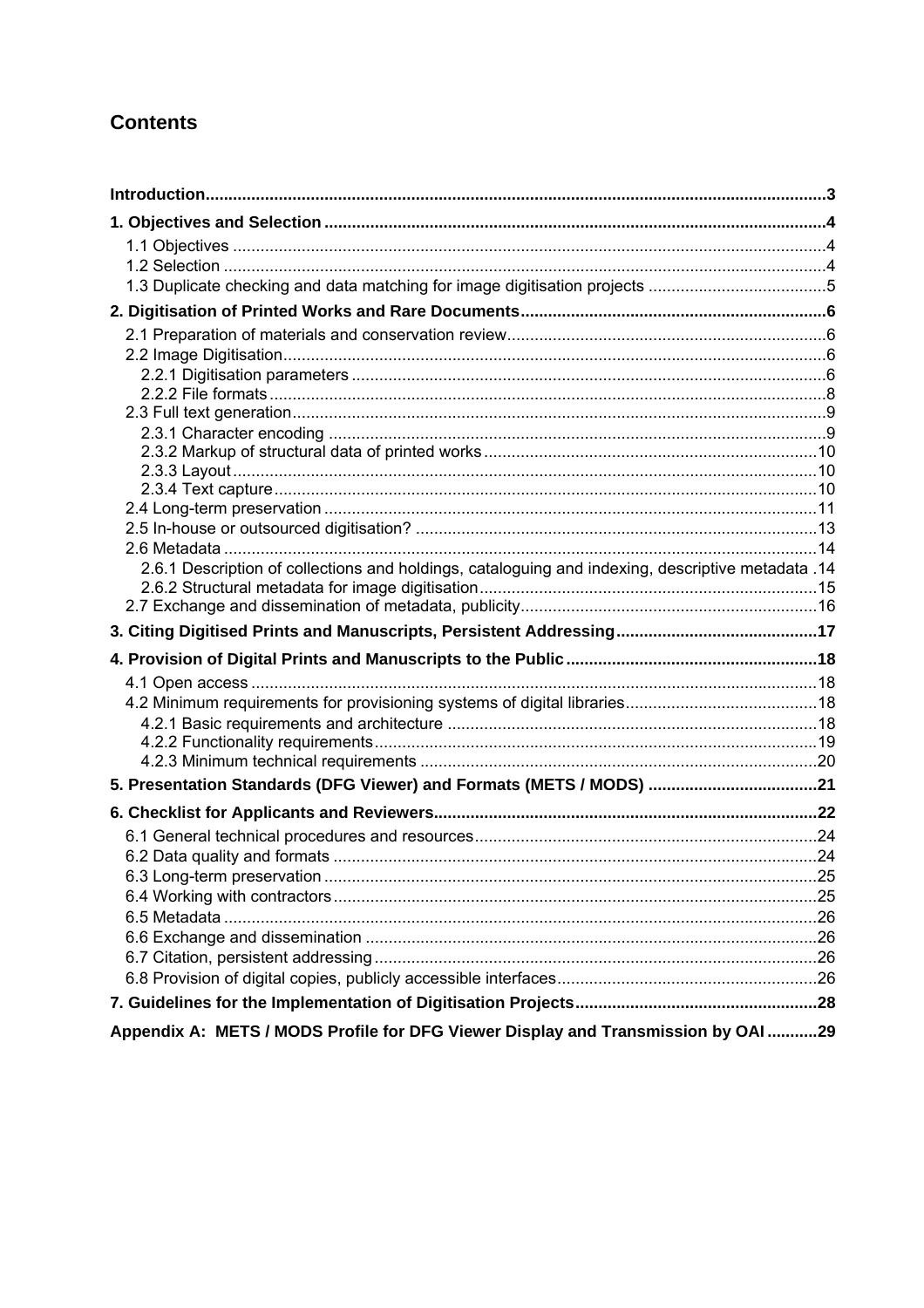# **Contents**

| 2.6.1 Description of collections and holdings, cataloguing and indexing, descriptive metadata .14 |  |
|---------------------------------------------------------------------------------------------------|--|
|                                                                                                   |  |
|                                                                                                   |  |
|                                                                                                   |  |
|                                                                                                   |  |
|                                                                                                   |  |
|                                                                                                   |  |
|                                                                                                   |  |
|                                                                                                   |  |
| 5. Presentation Standards (DFG Viewer) and Formats (METS / MODS) 21                               |  |
|                                                                                                   |  |
|                                                                                                   |  |
|                                                                                                   |  |
|                                                                                                   |  |
|                                                                                                   |  |
|                                                                                                   |  |
|                                                                                                   |  |
|                                                                                                   |  |
|                                                                                                   |  |
|                                                                                                   |  |
| Appendix A: METS / MODS Profile for DFG Viewer Display and Transmission by OAI 29                 |  |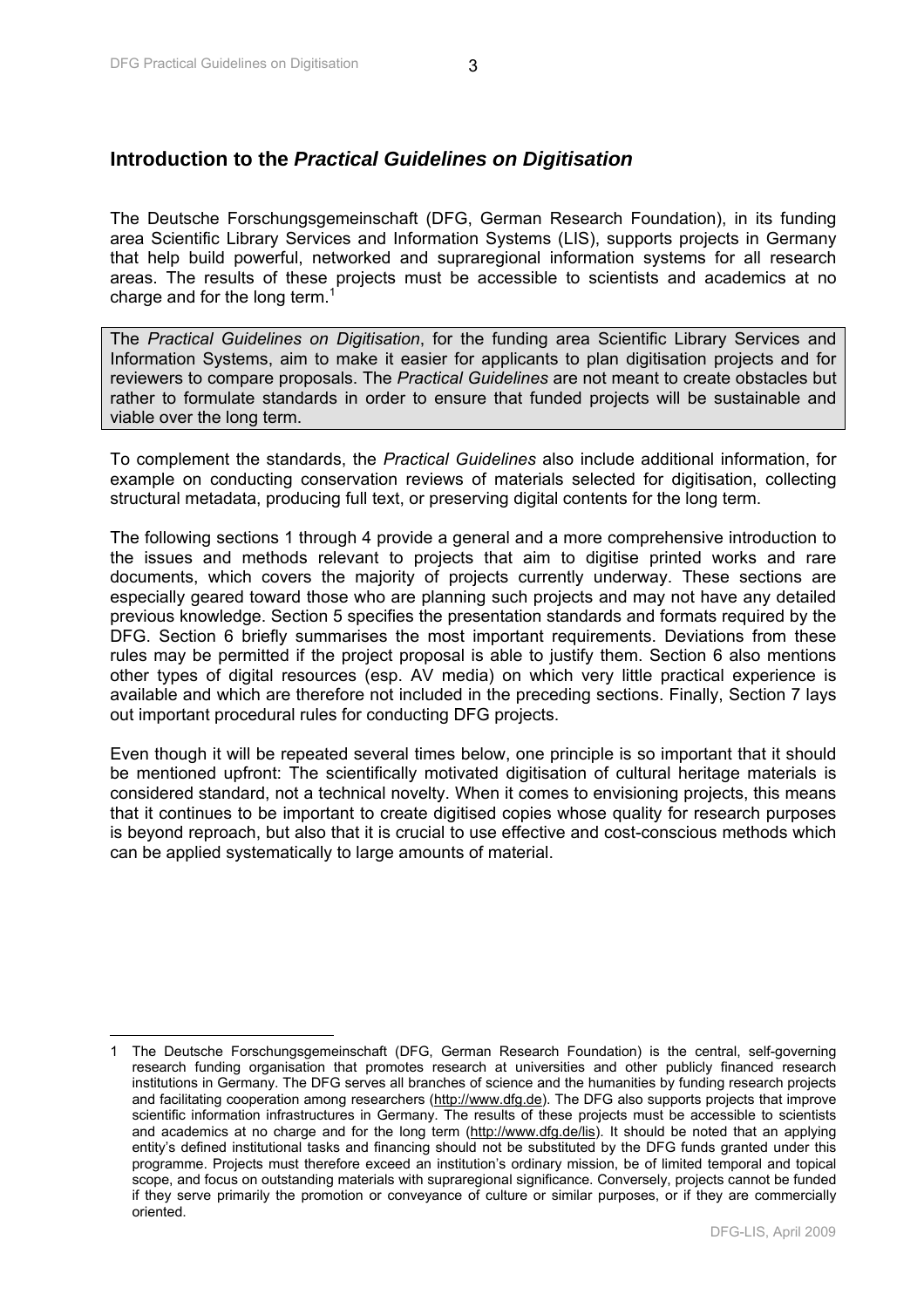$\overline{\phantom{a}}$ 

# <span id="page-3-0"></span>**Introduction to the** *Practical Guidelines on Digitisation*

The Deutsche Forschungsgemeinschaft (DFG, German Research Foundation), in its funding area Scientific Library Services and Information Systems (LIS), supports projects in Germany that help build powerful, networked and supraregional information systems for all research areas. The results of these projects must be accessible to scientists and academics at no charge and for the long term.<sup>1</sup>

The *Practical Guidelines on Digitisation*, for the funding area Scientific Library Services and Information Systems, aim to make it easier for applicants to plan digitisation projects and for reviewers to compare proposals. The *Practical Guidelines* are not meant to create obstacles but rather to formulate standards in order to ensure that funded projects will be sustainable and viable over the long term.

To complement the standards, the *Practical Guidelines* also include additional information, for example on conducting conservation reviews of materials selected for digitisation, collecting structural metadata, producing full text, or preserving digital contents for the long term.

The following sections 1 through 4 provide a general and a more comprehensive introduction to the issues and methods relevant to projects that aim to digitise printed works and rare documents, which covers the majority of projects currently underway. These sections are especially geared toward those who are planning such projects and may not have any detailed previous knowledge. Section 5 specifies the presentation standards and formats required by the DFG. Section 6 briefly summarises the most important requirements. Deviations from these rules may be permitted if the project proposal is able to justify them. Section 6 also mentions other types of digital resources (esp. AV media) on which very little practical experience is available and which are therefore not included in the preceding sections. Finally, Section 7 lays out important procedural rules for conducting DFG projects.

Even though it will be repeated several times below, one principle is so important that it should be mentioned upfront: The scientifically motivated digitisation of cultural heritage materials is considered standard, not a technical novelty. When it comes to envisioning projects, this means that it continues to be important to create digitised copies whose quality for research purposes is beyond reproach, but also that it is crucial to use effective and cost-conscious methods which can be applied systematically to large amounts of material.

<sup>1</sup> The Deutsche Forschungsgemeinschaft (DFG, German Research Foundation) is the central, self-governing research funding organisation that promotes research at universities and other publicly financed research institutions in Germany. The DFG serves all branches of science and the humanities by funding research projects and facilitating cooperation among researchers (http://www.dfg.de). The DFG also supports projects that improve scientific information infrastructures in Germany. The results of these projects must be accessible to scientists and academics at no charge and for the long term (http://www.dfg.de/lis). It should be noted that an applying entity's defined institutional tasks and financing should not be substituted by the DFG funds granted under this programme. Projects must therefore exceed an institution's ordinary mission, be of limited temporal and topical scope, and focus on outstanding materials with supraregional significance. Conversely, projects cannot be funded if they serve primarily the promotion or conveyance of culture or similar purposes, or if they are commercially oriented.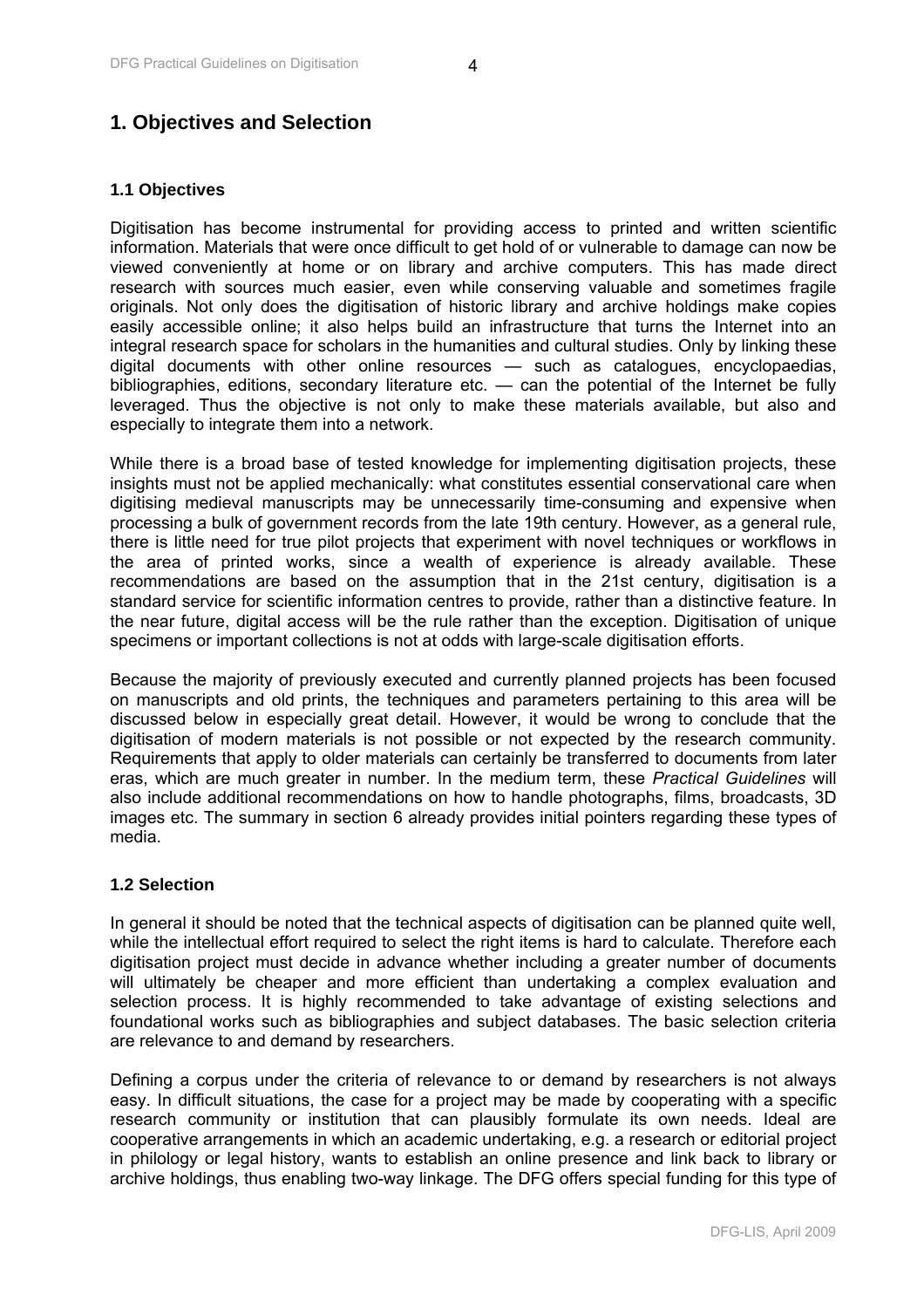# <span id="page-4-0"></span>**1. Objectives and Selection**

#### **1.1 Objectives**

Digitisation has become instrumental for providing access to printed and written scientific information. Materials that were once difficult to get hold of or vulnerable to damage can now be viewed conveniently at home or on library and archive computers. This has made direct research with sources much easier, even while conserving valuable and sometimes fragile originals. Not only does the digitisation of historic library and archive holdings make copies easily accessible online; it also helps build an infrastructure that turns the Internet into an integral research space for scholars in the humanities and cultural studies. Only by linking these digital documents with other online resources — such as catalogues, encyclopaedias, bibliographies, editions, secondary literature etc. — can the potential of the Internet be fully leveraged. Thus the objective is not only to make these materials available, but also and especially to integrate them into a network.

While there is a broad base of tested knowledge for implementing digitisation projects, these insights must not be applied mechanically: what constitutes essential conservational care when digitising medieval manuscripts may be unnecessarily time-consuming and expensive when processing a bulk of government records from the late 19th century. However, as a general rule, there is little need for true pilot projects that experiment with novel techniques or workflows in the area of printed works, since a wealth of experience is already available. These recommendations are based on the assumption that in the 21st century, digitisation is a standard service for scientific information centres to provide, rather than a distinctive feature. In the near future, digital access will be the rule rather than the exception. Digitisation of unique specimens or important collections is not at odds with large-scale digitisation efforts.

Because the majority of previously executed and currently planned projects has been focused on manuscripts and old prints, the techniques and parameters pertaining to this area will be discussed below in especially great detail. However, it would be wrong to conclude that the digitisation of modern materials is not possible or not expected by the research community. Requirements that apply to older materials can certainly be transferred to documents from later eras, which are much greater in number. In the medium term, these *Practical Guidelines* will also include additional recommendations on how to handle photographs, films, broadcasts, 3D images etc. The summary in section 6 already provides initial pointers regarding these types of media.

#### **1.2 Selection**

In general it should be noted that the technical aspects of digitisation can be planned quite well, while the intellectual effort required to select the right items is hard to calculate. Therefore each digitisation project must decide in advance whether including a greater number of documents will ultimately be cheaper and more efficient than undertaking a complex evaluation and selection process. It is highly recommended to take advantage of existing selections and foundational works such as bibliographies and subject databases. The basic selection criteria are relevance to and demand by researchers.

Defining a corpus under the criteria of relevance to or demand by researchers is not always easy. In difficult situations, the case for a project may be made by cooperating with a specific research community or institution that can plausibly formulate its own needs. Ideal are cooperative arrangements in which an academic undertaking, e.g. a research or editorial project in philology or legal history, wants to establish an online presence and link back to library or archive holdings, thus enabling two-way linkage. The DFG offers special funding for this type of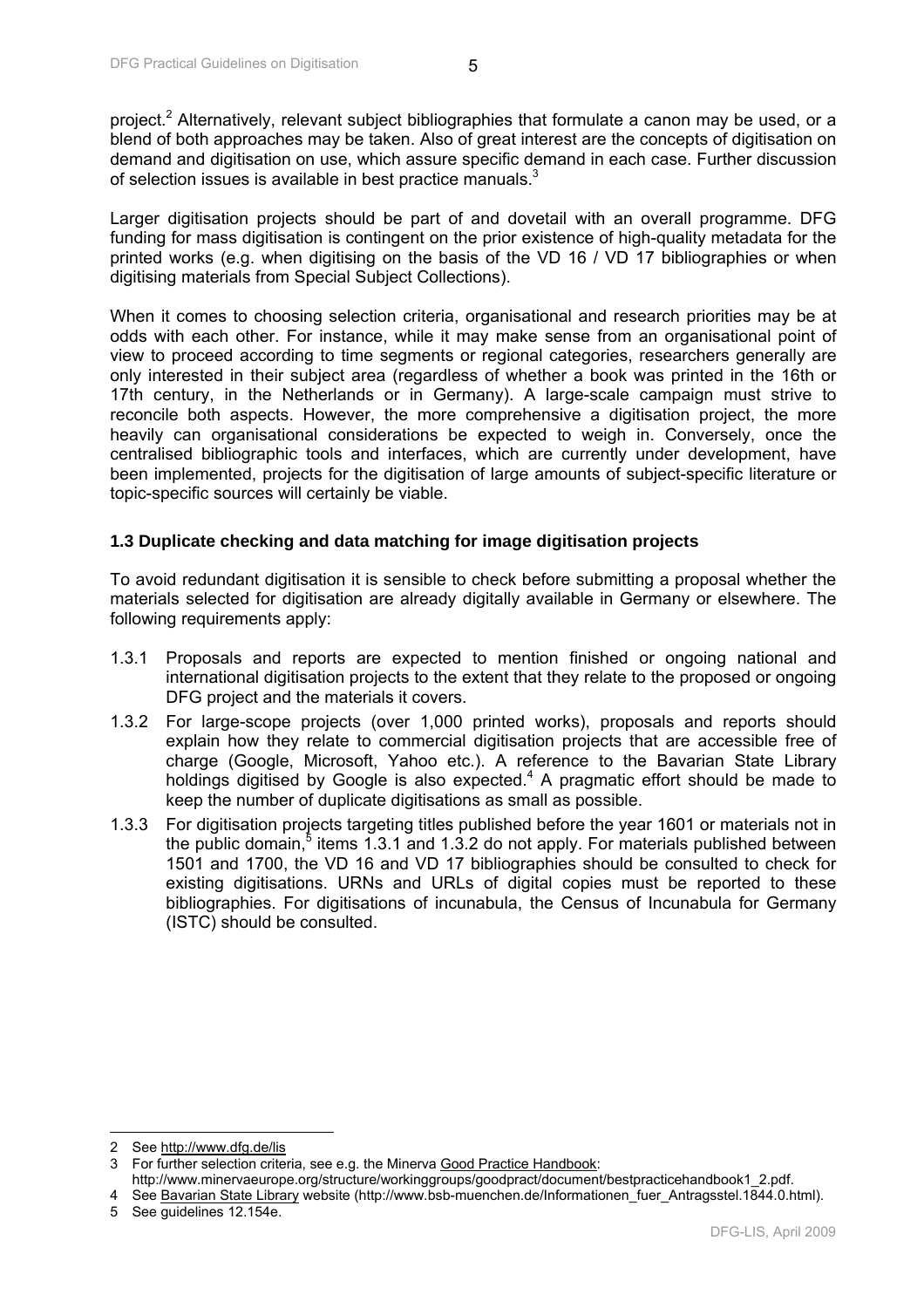<span id="page-5-0"></span>Larger digitisation projects should be part of and dovetail with an overall programme. DFG funding for mass digitisation is contingent on the prior existence of high-quality metadata for the printed works (e.g. when digitising on the basis of the VD 16 / VD 17 bibliographies or when digitising materials from Special Subject Collections).

When it comes to choosing selection criteria, organisational and research priorities may be at odds with each other. For instance, while it may make sense from an organisational point of view to proceed according to time segments or regional categories, researchers generally are only interested in their subject area (regardless of whether a book was printed in the 16th or 17th century, in the Netherlands or in Germany). A large-scale campaign must strive to reconcile both aspects. However, the more comprehensive a digitisation project, the more heavily can organisational considerations be expected to weigh in. Conversely, once the centralised bibliographic tools and interfaces, which are currently under development, have been implemented, projects for the digitisation of large amounts of subject-specific literature or topic-specific sources will certainly be viable.

## **1.3 Duplicate checking and data matching for image digitisation projects**

To avoid redundant digitisation it is sensible to check before submitting a proposal whether the materials selected for digitisation are already digitally available in Germany or elsewhere. The following requirements apply:

- 1.3.1 Proposals and reports are expected to mention finished or ongoing national and international digitisation projects to the extent that they relate to the proposed or ongoing DFG project and the materials it covers.
- 1.3.2 For large-scope projects (over 1,000 printed works), proposals and reports should explain how they relate to commercial digitisation projects that are accessible free of charge (Google, Microsoft, Yahoo etc.). A reference to the Bavarian State Library holdings digitised by Google is also expected. $4$  A pragmatic effort should be made to keep the number of duplicate digitisations as small as possible.
- 1.3.3 For digitisation projects targeting titles published before the year 1601 or materials not in the public domain, $5$  items 1.3.1 and 1.3.2 do not apply. For materials published between 1501 and 1700, the VD 16 and VD 17 bibliographies should be consulted to check for existing digitisations. URNs and URLs of digital copies must be reported to these bibliographies. For digitisations of incunabula, the Census of Incunabula for Germany (ISTC) should be consulted.

 $\overline{\phantom{a}}$ 

<sup>2</sup> See http://www.dfg.de/lis

<sup>3</sup> For further selection criteria, see e.g. the Minerva Good Practice Handbook:

http://www.minervaeurope.org/structure/workinggroups/goodpract/document/bestpracticehandbook1\_2.pdf.

<sup>4</sup> See Bavarian State Library website (http://www.bsb-muenchen.de/Informationen\_fuer\_Antragsstel.1844.0.html).

<sup>5</sup> See guidelines 12.154e.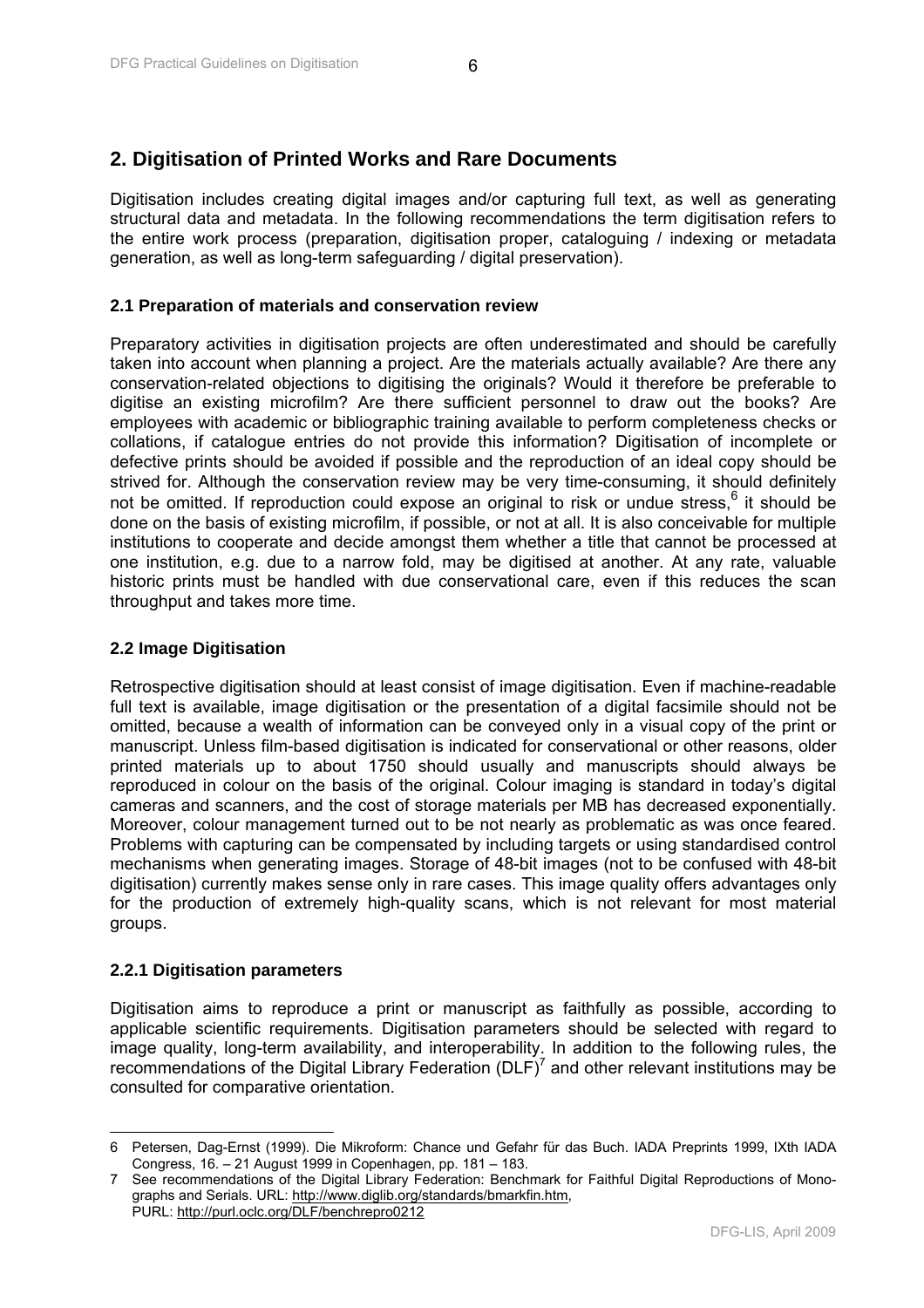# <span id="page-6-0"></span>**2. Digitisation of Printed Works and Rare Documents**

Digitisation includes creating digital images and/or capturing full text, as well as generating structural data and metadata. In the following recommendations the term digitisation refers to the entire work process (preparation, digitisation proper, cataloguing / indexing or metadata generation, as well as long-term safeguarding / digital preservation).

## **2.1 Preparation of materials and conservation review**

Preparatory activities in digitisation projects are often underestimated and should be carefully taken into account when planning a project. Are the materials actually available? Are there any conservation-related objections to digitising the originals? Would it therefore be preferable to digitise an existing microfilm? Are there sufficient personnel to draw out the books? Are employees with academic or bibliographic training available to perform completeness checks or collations, if catalogue entries do not provide this information? Digitisation of incomplete or defective prints should be avoided if possible and the reproduction of an ideal copy should be strived for. Although the conservation review may be very time-consuming, it should definitely not be omitted. If reproduction could expose an original to risk or undue stress,  $6$  it should be done on the basis of existing microfilm, if possible, or not at all. It is also conceivable for multiple institutions to cooperate and decide amongst them whether a title that cannot be processed at one institution, e.g. due to a narrow fold, may be digitised at another. At any rate, valuable historic prints must be handled with due conservational care, even if this reduces the scan throughput and takes more time.

#### **2.2 Image Digitisation**

Retrospective digitisation should at least consist of image digitisation. Even if machine-readable full text is available, image digitisation or the presentation of a digital facsimile should not be omitted, because a wealth of information can be conveyed only in a visual copy of the print or manuscript. Unless film-based digitisation is indicated for conservational or other reasons, older printed materials up to about 1750 should usually and manuscripts should always be reproduced in colour on the basis of the original. Colour imaging is standard in today's digital cameras and scanners, and the cost of storage materials per MB has decreased exponentially. Moreover, colour management turned out to be not nearly as problematic as was once feared. Problems with capturing can be compensated by including targets or using standardised control mechanisms when generating images. Storage of 48-bit images (not to be confused with 48-bit digitisation) currently makes sense only in rare cases. This image quality offers advantages only for the production of extremely high-quality scans, which is not relevant for most material groups.

#### **2.2.1 Digitisation parameters**

Digitisation aims to reproduce a print or manuscript as faithfully as possible, according to applicable scientific requirements. Digitisation parameters should be selected with regard to image quality, long-term availability, and interoperability. In addition to the following rules, the recommendations of the Digital Library Federation (DLF)<sup>7</sup> and other relevant institutions may be consulted for comparative orientation.

 $\overline{\phantom{a}}$ 6 Petersen, Dag-Ernst (1999). Die Mikroform: Chance und Gefahr für das Buch. IADA Preprints 1999, IXth IADA Congress, 16. – 21 August 1999 in Copenhagen, pp. 181 – 183.

<sup>7</sup> See recommendations of the Digital Library Federation: Benchmark for Faithful Digital Reproductions of Monographs and Serials. URL: http://www.diglib.org/standards/bmarkfin.htm, PURL: http://purl.oclc.org/DLF/benchrepro0212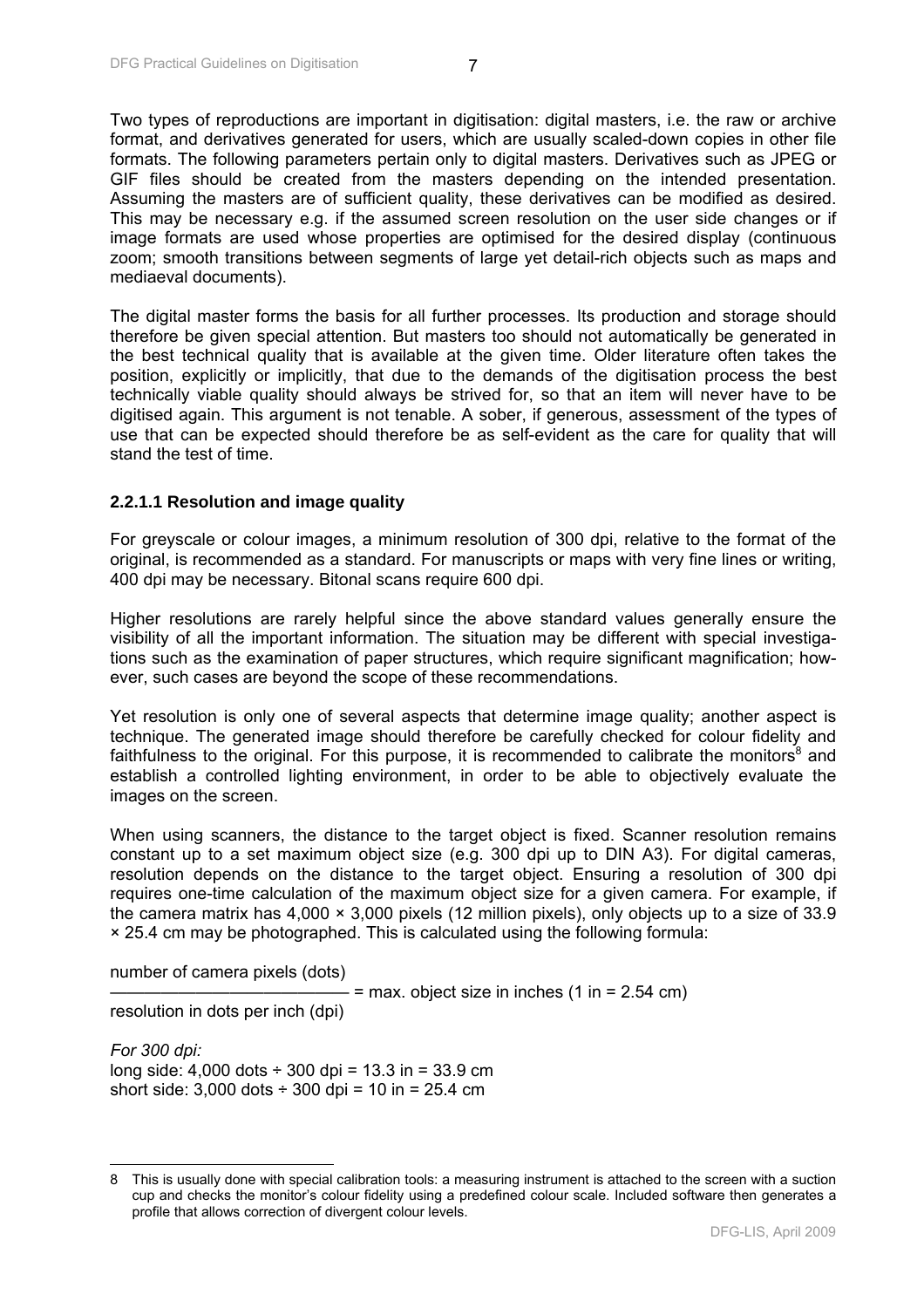Two types of reproductions are important in digitisation: digital masters, i.e. the raw or archive format, and derivatives generated for users, which are usually scaled-down copies in other file formats. The following parameters pertain only to digital masters. Derivatives such as JPEG or GIF files should be created from the masters depending on the intended presentation. Assuming the masters are of sufficient quality, these derivatives can be modified as desired. This may be necessary e.g. if the assumed screen resolution on the user side changes or if image formats are used whose properties are optimised for the desired display (continuous zoom; smooth transitions between segments of large yet detail-rich objects such as maps and mediaeval documents).

The digital master forms the basis for all further processes. Its production and storage should therefore be given special attention. But masters too should not automatically be generated in the best technical quality that is available at the given time. Older literature often takes the position, explicitly or implicitly, that due to the demands of the digitisation process the best technically viable quality should always be strived for, so that an item will never have to be digitised again. This argument is not tenable. A sober, if generous, assessment of the types of use that can be expected should therefore be as self-evident as the care for quality that will stand the test of time.

#### **2.2.1.1 Resolution and image quality**

For greyscale or colour images, a minimum resolution of 300 dpi, relative to the format of the original, is recommended as a standard. For manuscripts or maps with very fine lines or writing, 400 dpi may be necessary. Bitonal scans require 600 dpi.

Higher resolutions are rarely helpful since the above standard values generally ensure the visibility of all the important information. The situation may be different with special investigations such as the examination of paper structures, which require significant magnification; however, such cases are beyond the scope of these recommendations.

Yet resolution is only one of several aspects that determine image quality; another aspect is technique. The generated image should therefore be carefully checked for colour fidelity and faithfulness to the original. For this purpose, it is recommended to calibrate the monitors<sup>8</sup> and establish a controlled lighting environment, in order to be able to objectively evaluate the images on the screen.

When using scanners, the distance to the target object is fixed. Scanner resolution remains constant up to a set maximum object size (e.g. 300 dpi up to DIN A3). For digital cameras, resolution depends on the distance to the target object. Ensuring a resolution of 300 dpi requires one-time calculation of the maximum object size for a given camera. For example, if the camera matrix has 4,000 × 3,000 pixels (12 million pixels), only objects up to a size of 33.9 × 25.4 cm may be photographed. This is calculated using the following formula:

number of camera pixels (dots)

 $-$  = max. object size in inches (1 in = 2.54 cm)

resolution in dots per inch (dpi)

 $\overline{a}$ 

*For 300 dpi:* long side:  $4,000$  dots  $\div$  300 dpi = 13.3 in = 33.9 cm short side:  $3,000$  dots  $\div$   $300$  dpi =  $10$  in =  $25.4$  cm

<sup>8</sup> This is usually done with special calibration tools: a measuring instrument is attached to the screen with a suction cup and checks the monitor's colour fidelity using a predefined colour scale. Included software then generates a profile that allows correction of divergent colour levels.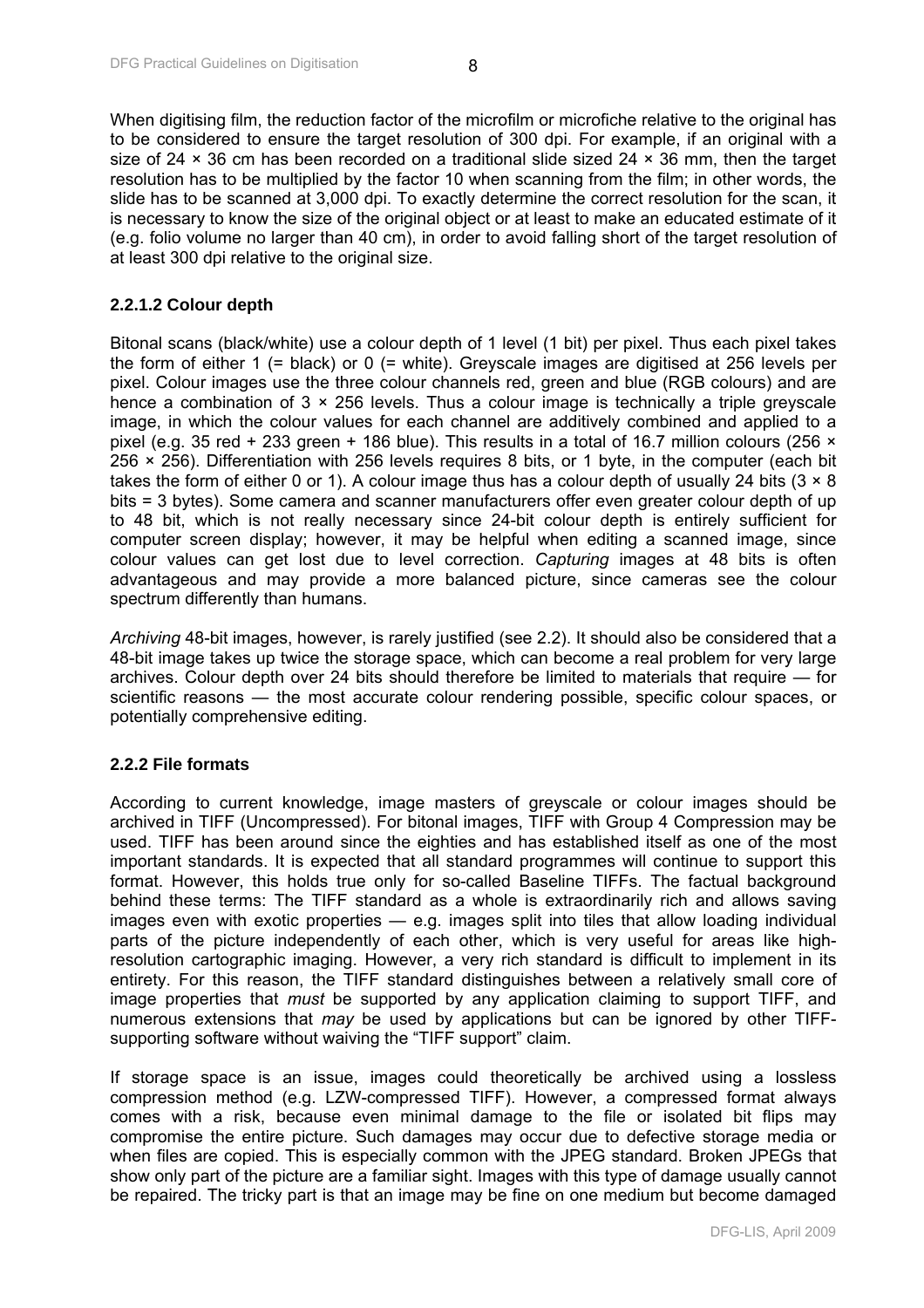<span id="page-8-0"></span>When digitising film, the reduction factor of the microfilm or microfiche relative to the original has to be considered to ensure the target resolution of 300 dpi. For example, if an original with a size of 24  $\times$  36 cm has been recorded on a traditional slide sized 24  $\times$  36 mm, then the target resolution has to be multiplied by the factor 10 when scanning from the film; in other words, the slide has to be scanned at 3,000 dpi. To exactly determine the correct resolution for the scan, it is necessary to know the size of the original object or at least to make an educated estimate of it (e.g. folio volume no larger than 40 cm), in order to avoid falling short of the target resolution of at least 300 dpi relative to the original size.

# **2.2.1.2 Colour depth**

Bitonal scans (black/white) use a colour depth of 1 level (1 bit) per pixel. Thus each pixel takes the form of either 1 (= black) or 0 (= white). Greyscale images are digitised at 256 levels per pixel. Colour images use the three colour channels red, green and blue (RGB colours) and are hence a combination of  $3 \times 256$  levels. Thus a colour image is technically a triple greyscale image, in which the colour values for each channel are additively combined and applied to a pixel (e.g. 35 red + 233 green + 186 blue). This results in a total of 16.7 million colours (256 × 256 × 256). Differentiation with 256 levels requires 8 bits, or 1 byte, in the computer (each bit takes the form of either 0 or 1). A colour image thus has a colour depth of usually 24 bits ( $3 \times 8$ ) bits = 3 bytes). Some camera and scanner manufacturers offer even greater colour depth of up to 48 bit, which is not really necessary since 24-bit colour depth is entirely sufficient for computer screen display; however, it may be helpful when editing a scanned image, since colour values can get lost due to level correction. *Capturing* images at 48 bits is often advantageous and may provide a more balanced picture, since cameras see the colour spectrum differently than humans.

*Archiving* 48-bit images, however, is rarely justified (see 2.2). It should also be considered that a 48-bit image takes up twice the storage space, which can become a real problem for very large archives. Colour depth over 24 bits should therefore be limited to materials that require — for scientific reasons — the most accurate colour rendering possible, specific colour spaces, or potentially comprehensive editing.

# **2.2.2 File formats**

According to current knowledge, image masters of greyscale or colour images should be archived in TIFF (Uncompressed). For bitonal images, TIFF with Group 4 Compression may be used. TIFF has been around since the eighties and has established itself as one of the most important standards. It is expected that all standard programmes will continue to support this format. However, this holds true only for so-called Baseline TIFFs. The factual background behind these terms: The TIFF standard as a whole is extraordinarily rich and allows saving images even with exotic properties — e.g. images split into tiles that allow loading individual parts of the picture independently of each other, which is very useful for areas like highresolution cartographic imaging. However, a very rich standard is difficult to implement in its entirety. For this reason, the TIFF standard distinguishes between a relatively small core of image properties that *must* be supported by any application claiming to support TIFF, and numerous extensions that *may* be used by applications but can be ignored by other TIFFsupporting software without waiving the "TIFF support" claim.

If storage space is an issue, images could theoretically be archived using a lossless compression method (e.g. LZW-compressed TIFF). However, a compressed format always comes with a risk, because even minimal damage to the file or isolated bit flips may compromise the entire picture. Such damages may occur due to defective storage media or when files are copied. This is especially common with the JPEG standard. Broken JPEGs that show only part of the picture are a familiar sight. Images with this type of damage usually cannot be repaired. The tricky part is that an image may be fine on one medium but become damaged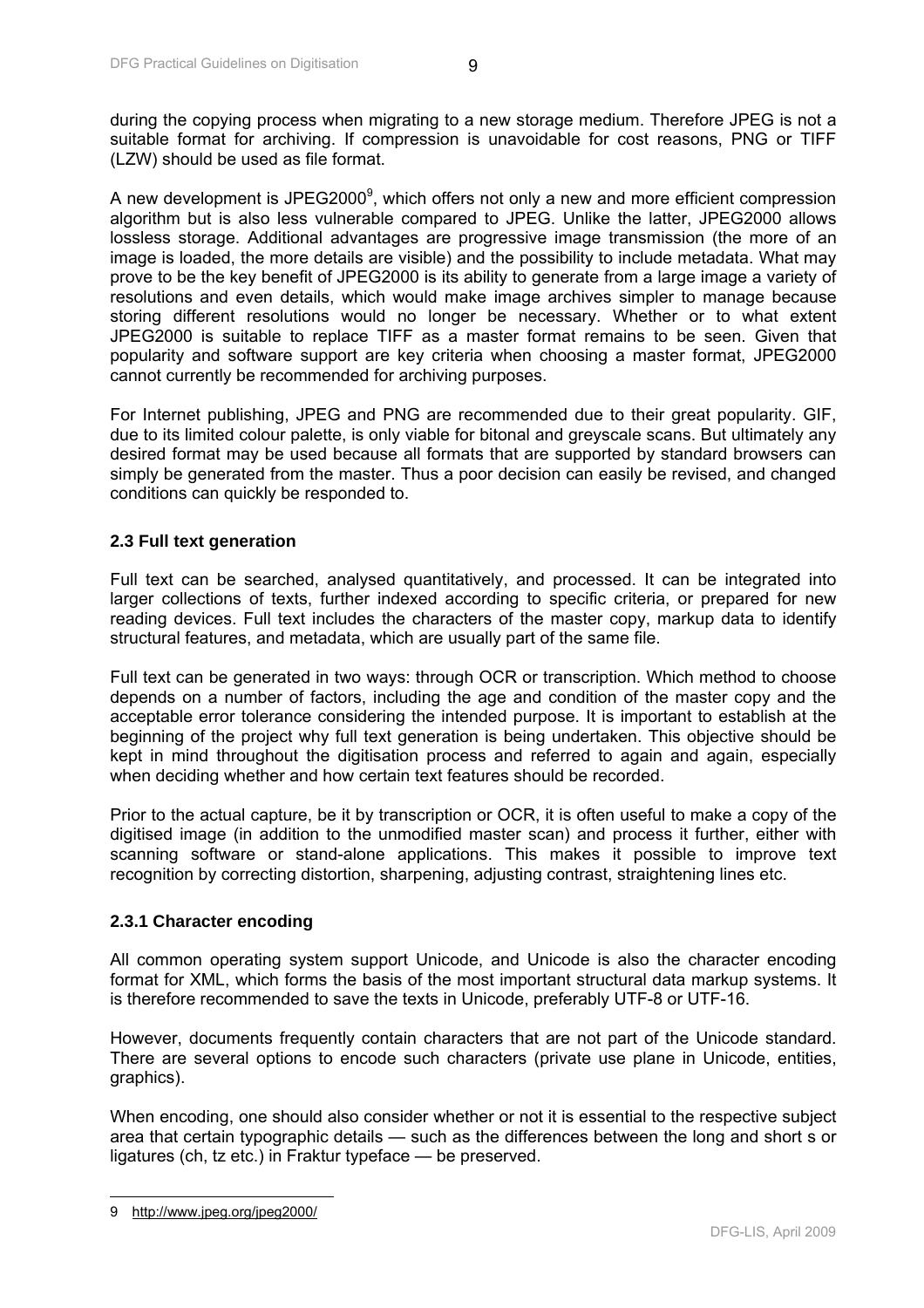<span id="page-9-0"></span>during the copying process when migrating to a new storage medium. Therefore JPEG is not a suitable format for archiving. If compression is unavoidable for cost reasons, PNG or TIFF (LZW) should be used as file format.

A new development is JPEG2000 $^9$ , which offers not only a new and more efficient compression algorithm but is also less vulnerable compared to JPEG. Unlike the latter, JPEG2000 allows lossless storage. Additional advantages are progressive image transmission (the more of an image is loaded, the more details are visible) and the possibility to include metadata. What may prove to be the key benefit of JPEG2000 is its ability to generate from a large image a variety of resolutions and even details, which would make image archives simpler to manage because storing different resolutions would no longer be necessary. Whether or to what extent JPEG2000 is suitable to replace TIFF as a master format remains to be seen. Given that popularity and software support are key criteria when choosing a master format, JPEG2000 cannot currently be recommended for archiving purposes.

For Internet publishing, JPEG and PNG are recommended due to their great popularity. GIF, due to its limited colour palette, is only viable for bitonal and greyscale scans. But ultimately any desired format may be used because all formats that are supported by standard browsers can simply be generated from the master. Thus a poor decision can easily be revised, and changed conditions can quickly be responded to.

## **2.3 Full text generation**

Full text can be searched, analysed quantitatively, and processed. It can be integrated into larger collections of texts, further indexed according to specific criteria, or prepared for new reading devices. Full text includes the characters of the master copy, markup data to identify structural features, and metadata, which are usually part of the same file.

Full text can be generated in two ways: through OCR or transcription. Which method to choose depends on a number of factors, including the age and condition of the master copy and the acceptable error tolerance considering the intended purpose. It is important to establish at the beginning of the project why full text generation is being undertaken. This objective should be kept in mind throughout the digitisation process and referred to again and again, especially when deciding whether and how certain text features should be recorded.

Prior to the actual capture, be it by transcription or OCR, it is often useful to make a copy of the digitised image (in addition to the unmodified master scan) and process it further, either with scanning software or stand-alone applications. This makes it possible to improve text recognition by correcting distortion, sharpening, adjusting contrast, straightening lines etc.

#### **2.3.1 Character encoding**

All common operating system support Unicode, and Unicode is also the character encoding format for XML, which forms the basis of the most important structural data markup systems. It is therefore recommended to save the texts in Unicode, preferably UTF-8 or UTF-16.

However, documents frequently contain characters that are not part of the Unicode standard. There are several options to encode such characters (private use plane in Unicode, entities, graphics).

When encoding, one should also consider whether or not it is essential to the respective subject area that certain typographic details — such as the differences between the long and short s or ligatures (ch, tz etc.) in Fraktur typeface — be preserved.

 $\overline{\phantom{a}}$ 

<sup>9</sup> http://www.jpeg.org/jpeg2000/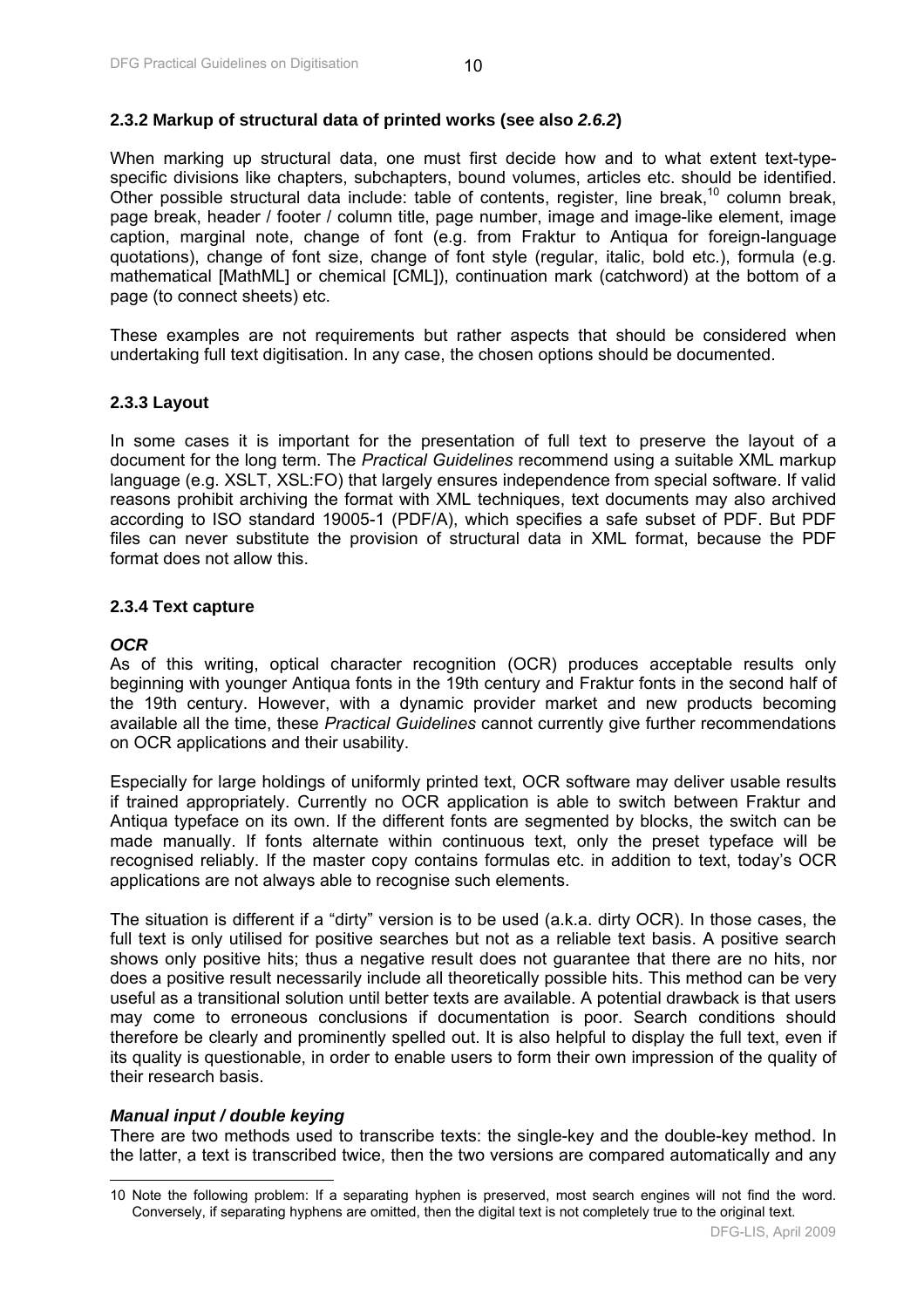#### <span id="page-10-0"></span>**2.3.2 Markup of structural data of printed works (see also** *2.6.2***)**

When marking up structural data, one must first decide how and to what extent text-typespecific divisions like chapters, subchapters, bound volumes, articles etc. should be identified. Other possible structural data include: table of contents, register, line break,<sup>10</sup> column break, page break, header / footer / column title, page number, image and image-like element, image caption, marginal note, change of font (e.g. from Fraktur to Antiqua for foreign-language quotations), change of font size, change of font style (regular, italic, bold etc.), formula (e.g. mathematical [MathML] or chemical [CML]), continuation mark (catchword) at the bottom of a page (to connect sheets) etc.

These examples are not requirements but rather aspects that should be considered when undertaking full text digitisation. In any case, the chosen options should be documented.

#### **2.3.3 Layout**

In some cases it is important for the presentation of full text to preserve the layout of a document for the long term. The *Practical Guidelines* recommend using a suitable XML markup language (e.g. XSLT, XSL:FO) that largely ensures independence from special software. If valid reasons prohibit archiving the format with XML techniques, text documents may also archived according to ISO standard 19005-1 (PDF/A), which specifies a safe subset of PDF. But PDF files can never substitute the provision of structural data in XML format, because the PDF format does not allow this.

#### **2.3.4 Text capture**

#### *OCR*

 $\overline{\phantom{a}}$ 

As of this writing, optical character recognition (OCR) produces acceptable results only beginning with younger Antiqua fonts in the 19th century and Fraktur fonts in the second half of the 19th century. However, with a dynamic provider market and new products becoming available all the time, these *Practical Guidelines* cannot currently give further recommendations on OCR applications and their usability.

Especially for large holdings of uniformly printed text, OCR software may deliver usable results if trained appropriately. Currently no OCR application is able to switch between Fraktur and Antiqua typeface on its own. If the different fonts are segmented by blocks, the switch can be made manually. If fonts alternate within continuous text, only the preset typeface will be recognised reliably. If the master copy contains formulas etc. in addition to text, today's OCR applications are not always able to recognise such elements.

The situation is different if a "dirty" version is to be used (a.k.a. dirty OCR). In those cases, the full text is only utilised for positive searches but not as a reliable text basis. A positive search shows only positive hits; thus a negative result does not guarantee that there are no hits, nor does a positive result necessarily include all theoretically possible hits. This method can be very useful as a transitional solution until better texts are available. A potential drawback is that users may come to erroneous conclusions if documentation is poor. Search conditions should therefore be clearly and prominently spelled out. It is also helpful to display the full text, even if its quality is questionable, in order to enable users to form their own impression of the quality of their research basis.

#### *Manual input / double keying*

There are two methods used to transcribe texts: the single-key and the double-key method. In the latter, a text is transcribed twice, then the two versions are compared automatically and any

<sup>10</sup> Note the following problem: If a separating hyphen is preserved, most search engines will not find the word. Conversely, if separating hyphens are omitted, then the digital text is not completely true to the original text.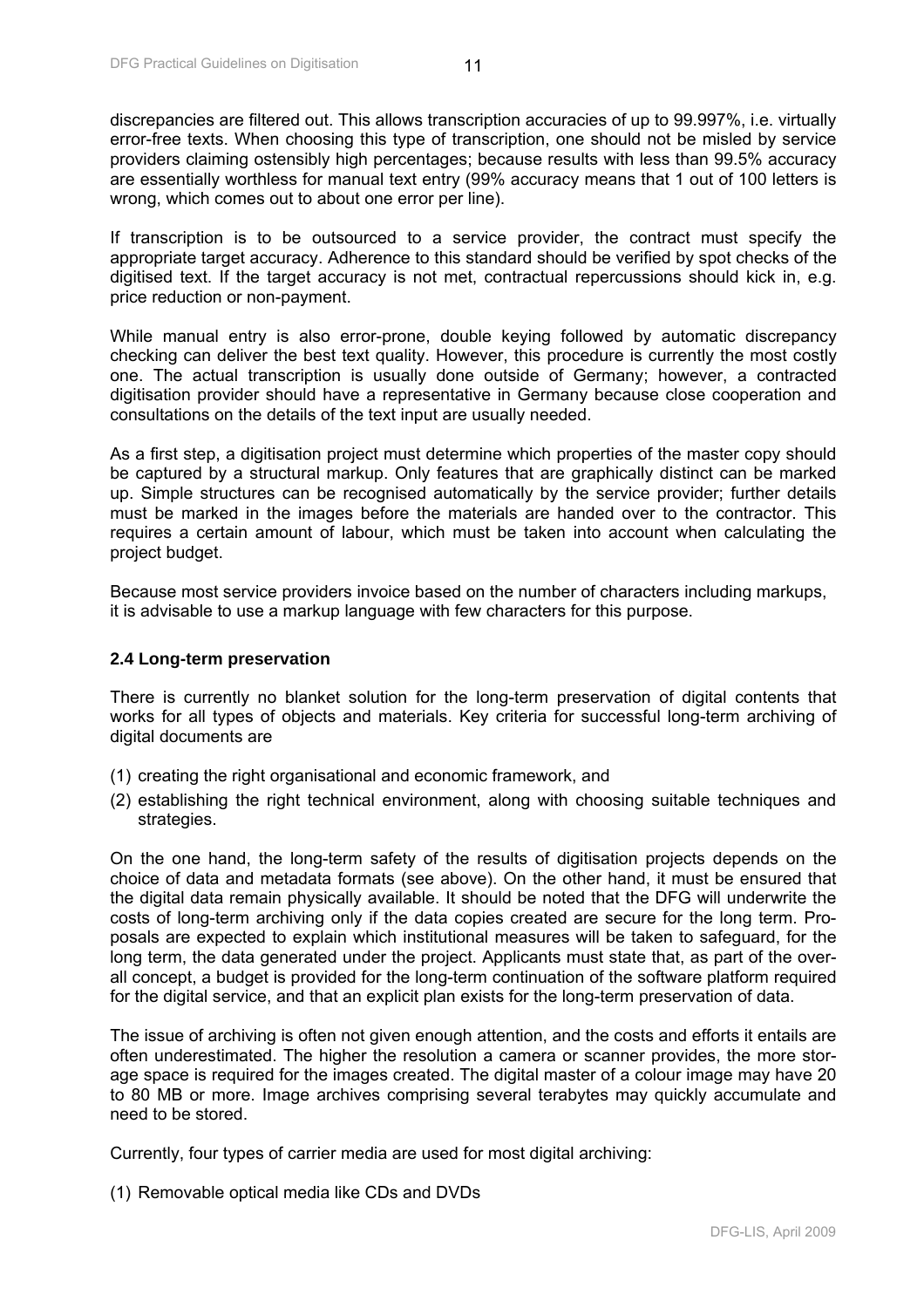<span id="page-11-0"></span>discrepancies are filtered out. This allows transcription accuracies of up to 99.997%, i.e. virtually error-free texts. When choosing this type of transcription, one should not be misled by service providers claiming ostensibly high percentages; because results with less than 99.5% accuracy are essentially worthless for manual text entry (99% accuracy means that 1 out of 100 letters is wrong, which comes out to about one error per line).

If transcription is to be outsourced to a service provider, the contract must specify the appropriate target accuracy. Adherence to this standard should be verified by spot checks of the digitised text. If the target accuracy is not met, contractual repercussions should kick in, e.g. price reduction or non-payment.

While manual entry is also error-prone, double keying followed by automatic discrepancy checking can deliver the best text quality. However, this procedure is currently the most costly one. The actual transcription is usually done outside of Germany; however, a contracted digitisation provider should have a representative in Germany because close cooperation and consultations on the details of the text input are usually needed.

As a first step, a digitisation project must determine which properties of the master copy should be captured by a structural markup. Only features that are graphically distinct can be marked up. Simple structures can be recognised automatically by the service provider; further details must be marked in the images before the materials are handed over to the contractor. This requires a certain amount of labour, which must be taken into account when calculating the project budget.

Because most service providers invoice based on the number of characters including markups, it is advisable to use a markup language with few characters for this purpose.

#### **2.4 Long-term preservation**

There is currently no blanket solution for the long-term preservation of digital contents that works for all types of objects and materials. Key criteria for successful long-term archiving of digital documents are

- (1) creating the right organisational and economic framework, and
- (2) establishing the right technical environment, along with choosing suitable techniques and strategies.

On the one hand, the long-term safety of the results of digitisation projects depends on the choice of data and metadata formats (see above). On the other hand, it must be ensured that the digital data remain physically available. It should be noted that the DFG will underwrite the costs of long-term archiving only if the data copies created are secure for the long term. Proposals are expected to explain which institutional measures will be taken to safeguard, for the long term, the data generated under the project. Applicants must state that, as part of the overall concept, a budget is provided for the long-term continuation of the software platform required for the digital service, and that an explicit plan exists for the long-term preservation of data.

The issue of archiving is often not given enough attention, and the costs and efforts it entails are often underestimated. The higher the resolution a camera or scanner provides, the more storage space is required for the images created. The digital master of a colour image may have 20 to 80 MB or more. Image archives comprising several terabytes may quickly accumulate and need to be stored.

Currently, four types of carrier media are used for most digital archiving:

(1) Removable optical media like CDs and DVDs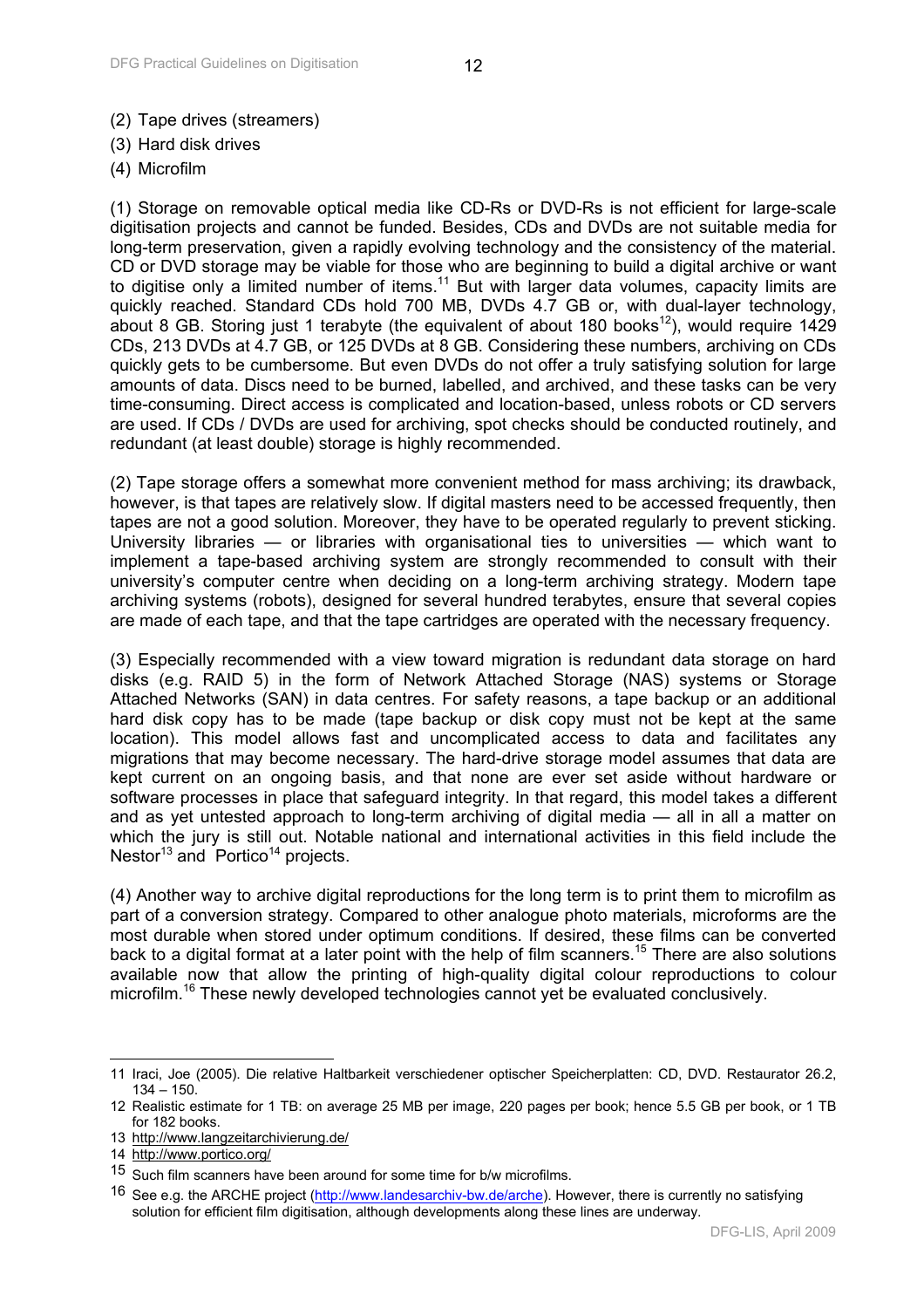- (2) Tape drives (streamers)
- (3) Hard disk drives
- (4) Microfilm

(1) Storage on removable optical media like CD-Rs or DVD-Rs is not efficient for large-scale digitisation projects and cannot be funded. Besides, CDs and DVDs are not suitable media for long-term preservation, given a rapidly evolving technology and the consistency of the material. CD or DVD storage may be viable for those who are beginning to build a digital archive or want to digitise only a limited number of items.<sup>11</sup> But with larger data volumes, capacity limits are quickly reached. Standard CDs hold 700 MB, DVDs 4.7 GB or, with dual-layer technology, about 8 GB. Storing just 1 terabyte (the equivalent of about 180 books<sup>12</sup>), would require 1429 CDs, 213 DVDs at 4.7 GB, or 125 DVDs at 8 GB. Considering these numbers, archiving on CDs quickly gets to be cumbersome. But even DVDs do not offer a truly satisfying solution for large amounts of data. Discs need to be burned, labelled, and archived, and these tasks can be very time-consuming. Direct access is complicated and location-based, unless robots or CD servers are used. If CDs / DVDs are used for archiving, spot checks should be conducted routinely, and redundant (at least double) storage is highly recommended.

(2) Tape storage offers a somewhat more convenient method for mass archiving; its drawback, however, is that tapes are relatively slow. If digital masters need to be accessed frequently, then tapes are not a good solution. Moreover, they have to be operated regularly to prevent sticking. University libraries — or libraries with organisational ties to universities — which want to implement a tape-based archiving system are strongly recommended to consult with their university's computer centre when deciding on a long-term archiving strategy. Modern tape archiving systems (robots), designed for several hundred terabytes, ensure that several copies are made of each tape, and that the tape cartridges are operated with the necessary frequency.

(3) Especially recommended with a view toward migration is redundant data storage on hard disks (e.g. RAID 5) in the form of Network Attached Storage (NAS) systems or Storage Attached Networks (SAN) in data centres. For safety reasons, a tape backup or an additional hard disk copy has to be made (tape backup or disk copy must not be kept at the same location). This model allows fast and uncomplicated access to data and facilitates any migrations that may become necessary. The hard-drive storage model assumes that data are kept current on an ongoing basis, and that none are ever set aside without hardware or software processes in place that safeguard integrity. In that regard, this model takes a different and as yet untested approach to long-term archiving of digital media — all in all a matter on which the jury is still out. Notable national and international activities in this field include the Nestor<sup>13</sup> and Portico<sup>14</sup> projects.

(4) Another way to archive digital reproductions for the long term is to print them to microfilm as part of a conversion strategy. Compared to other analogue photo materials, microforms are the most durable when stored under optimum conditions. If desired, these films can be converted back to a digital format at a later point with the help of film scanners.<sup>15</sup> There are also solutions available now that allow the printing of high-quality digital colour reproductions to colour microfilm.16 These newly developed technologies cannot yet be evaluated conclusively.

- 13 http://www.langzeitarchivierung.de/
- 14 http://www.portico.org/

 $\overline{\phantom{a}}$ 11 Iraci, Joe (2005). Die relative Haltbarkeit verschiedener optischer Speicherplatten: CD, DVD. Restaurator 26.2, 134 – 150.

<sup>12</sup> Realistic estimate for 1 TB: on average 25 MB per image, 220 pages per book; hence 5.5 GB per book, or 1 TB for 182 books.

<sup>15</sup> Such film scanners have been around for some time for b/w microfilms.

<sup>16</sup> See e.g. the ARCHE project (http://www.landesarchiv-bw.de/arche). However, there is currently no satisfying solution for efficient film digitisation, although developments along these lines are underway.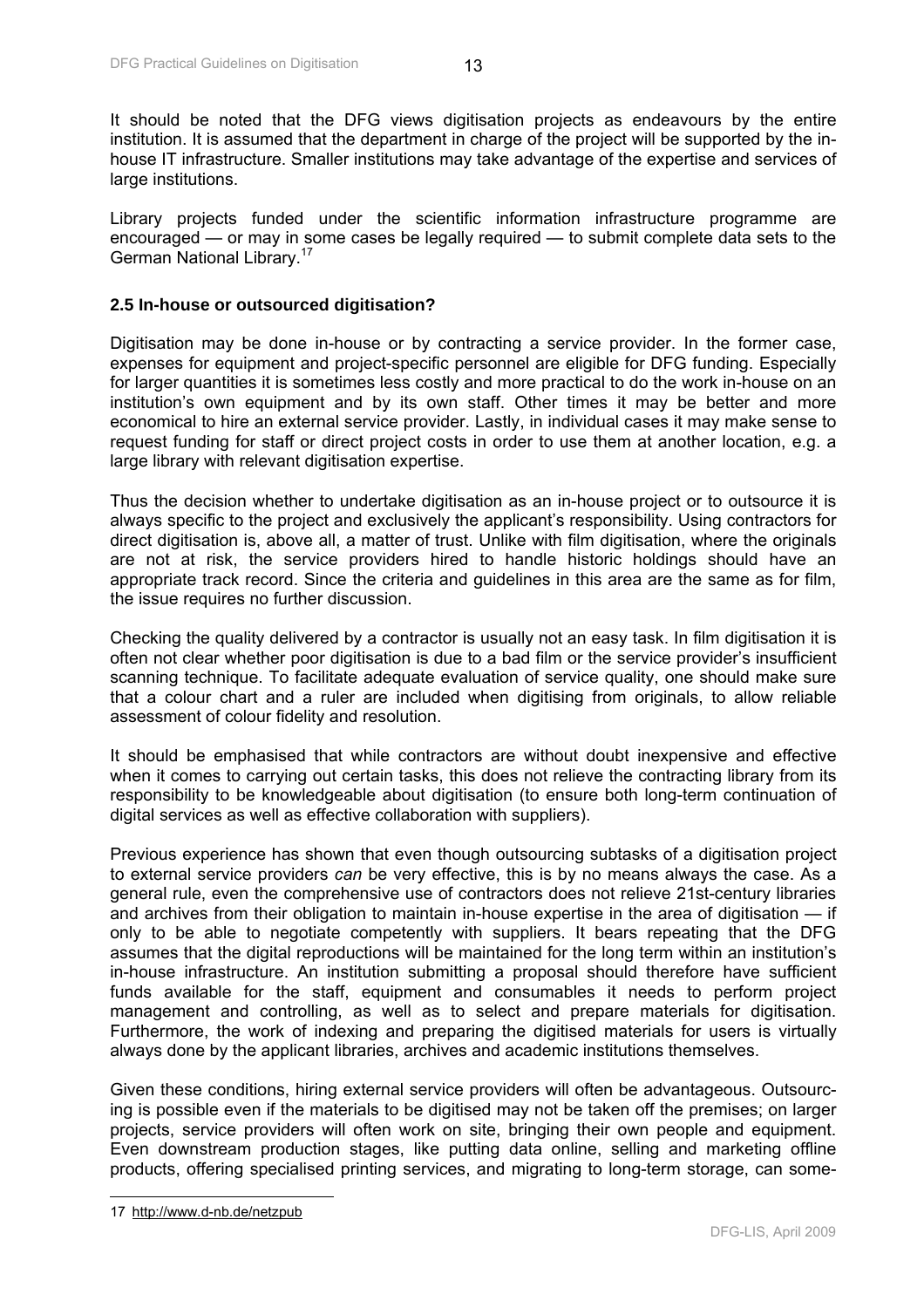<span id="page-13-0"></span>It should be noted that the DFG views digitisation projects as endeavours by the entire institution. It is assumed that the department in charge of the project will be supported by the inhouse IT infrastructure. Smaller institutions may take advantage of the expertise and services of large institutions.

Library projects funded under the scientific information infrastructure programme are encouraged — or may in some cases be legally required — to submit complete data sets to the German National Library.17

#### **2.5 In-house or outsourced digitisation?**

Digitisation may be done in-house or by contracting a service provider. In the former case, expenses for equipment and project-specific personnel are eligible for DFG funding. Especially for larger quantities it is sometimes less costly and more practical to do the work in-house on an institution's own equipment and by its own staff. Other times it may be better and more economical to hire an external service provider. Lastly, in individual cases it may make sense to request funding for staff or direct project costs in order to use them at another location, e.g. a large library with relevant digitisation expertise.

Thus the decision whether to undertake digitisation as an in-house project or to outsource it is always specific to the project and exclusively the applicant's responsibility. Using contractors for direct digitisation is, above all, a matter of trust. Unlike with film digitisation, where the originals are not at risk, the service providers hired to handle historic holdings should have an appropriate track record. Since the criteria and guidelines in this area are the same as for film, the issue requires no further discussion.

Checking the quality delivered by a contractor is usually not an easy task. In film digitisation it is often not clear whether poor digitisation is due to a bad film or the service provider's insufficient scanning technique. To facilitate adequate evaluation of service quality, one should make sure that a colour chart and a ruler are included when digitising from originals, to allow reliable assessment of colour fidelity and resolution.

It should be emphasised that while contractors are without doubt inexpensive and effective when it comes to carrying out certain tasks, this does not relieve the contracting library from its responsibility to be knowledgeable about digitisation (to ensure both long-term continuation of digital services as well as effective collaboration with suppliers).

Previous experience has shown that even though outsourcing subtasks of a digitisation project to external service providers *can* be very effective, this is by no means always the case. As a general rule, even the comprehensive use of contractors does not relieve 21st-century libraries and archives from their obligation to maintain in-house expertise in the area of digitisation — if only to be able to negotiate competently with suppliers. It bears repeating that the DFG assumes that the digital reproductions will be maintained for the long term within an institution's in-house infrastructure. An institution submitting a proposal should therefore have sufficient funds available for the staff, equipment and consumables it needs to perform project management and controlling, as well as to select and prepare materials for digitisation. Furthermore, the work of indexing and preparing the digitised materials for users is virtually always done by the applicant libraries, archives and academic institutions themselves.

Given these conditions, hiring external service providers will often be advantageous. Outsourcing is possible even if the materials to be digitised may not be taken off the premises; on larger projects, service providers will often work on site, bringing their own people and equipment. Even downstream production stages, like putting data online, selling and marketing offline products, offering specialised printing services, and migrating to long-term storage, can some-

 $\overline{\phantom{a}}$ 

<sup>17</sup> http://www.d-nb.de/netzpub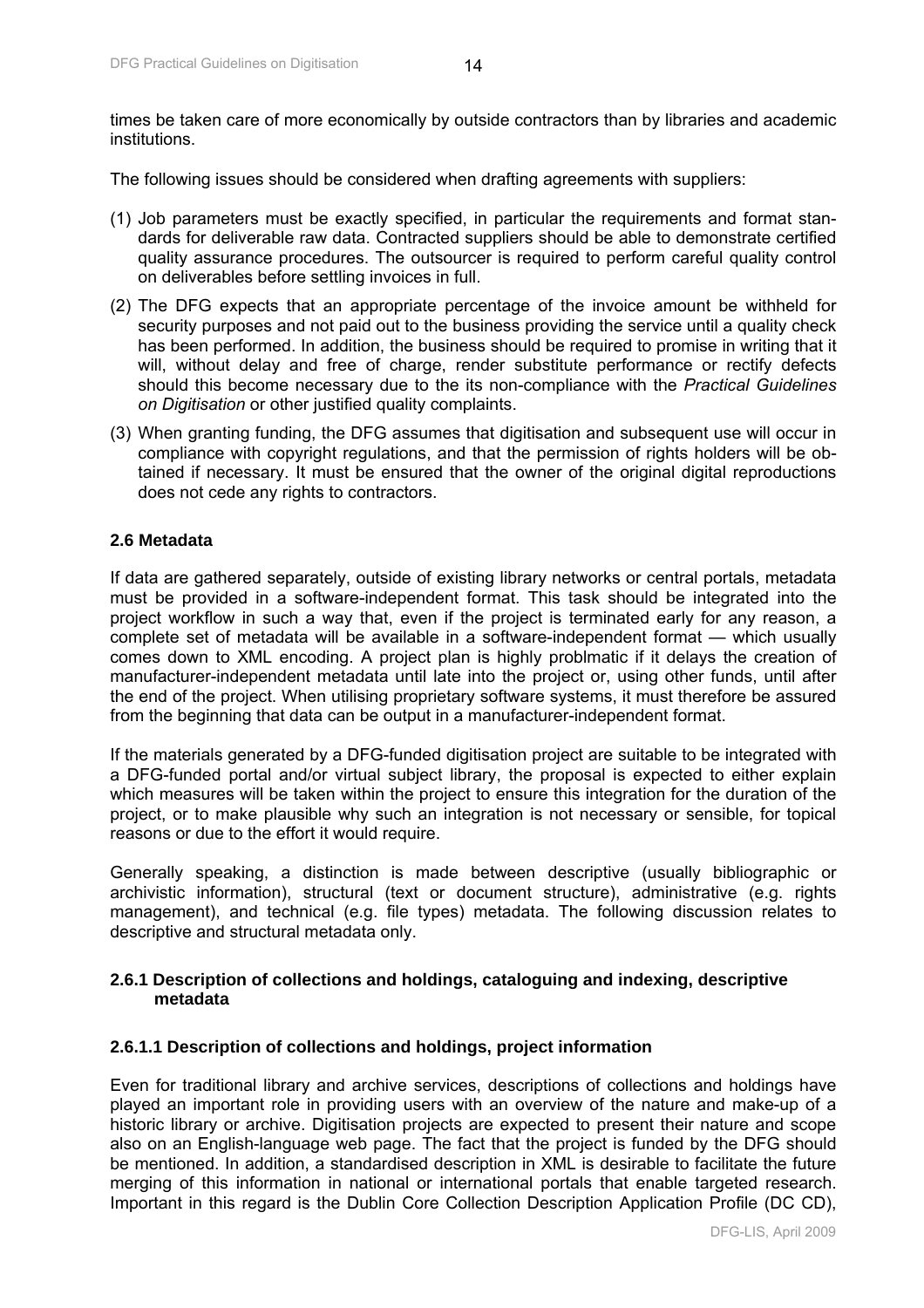<span id="page-14-0"></span>times be taken care of more economically by outside contractors than by libraries and academic institutions.

The following issues should be considered when drafting agreements with suppliers:

- (1) Job parameters must be exactly specified, in particular the requirements and format standards for deliverable raw data. Contracted suppliers should be able to demonstrate certified quality assurance procedures. The outsourcer is required to perform careful quality control on deliverables before settling invoices in full.
- (2) The DFG expects that an appropriate percentage of the invoice amount be withheld for security purposes and not paid out to the business providing the service until a quality check has been performed. In addition, the business should be required to promise in writing that it will, without delay and free of charge, render substitute performance or rectify defects should this become necessary due to the its non-compliance with the *Practical Guidelines on Digitisation* or other justified quality complaints.
- (3) When granting funding, the DFG assumes that digitisation and subsequent use will occur in compliance with copyright regulations, and that the permission of rights holders will be obtained if necessary. It must be ensured that the owner of the original digital reproductions does not cede any rights to contractors.

#### **2.6 Metadata**

If data are gathered separately, outside of existing library networks or central portals, metadata must be provided in a software-independent format. This task should be integrated into the project workflow in such a way that, even if the project is terminated early for any reason, a complete set of metadata will be available in a software-independent format — which usually comes down to XML encoding. A project plan is highly problmatic if it delays the creation of manufacturer-independent metadata until late into the project or, using other funds, until after the end of the project. When utilising proprietary software systems, it must therefore be assured from the beginning that data can be output in a manufacturer-independent format.

If the materials generated by a DFG-funded digitisation project are suitable to be integrated with a DFG-funded portal and/or virtual subject library, the proposal is expected to either explain which measures will be taken within the project to ensure this integration for the duration of the project, or to make plausible why such an integration is not necessary or sensible, for topical reasons or due to the effort it would require.

Generally speaking, a distinction is made between descriptive (usually bibliographic or archivistic information), structural (text or document structure), administrative (e.g. rights management), and technical (e.g. file types) metadata. The following discussion relates to descriptive and structural metadata only.

#### **2.6.1 Description of collections and holdings, cataloguing and indexing, descriptive metadata**

#### **2.6.1.1 Description of collections and holdings, project information**

Even for traditional library and archive services, descriptions of collections and holdings have played an important role in providing users with an overview of the nature and make-up of a historic library or archive. Digitisation projects are expected to present their nature and scope also on an English-language web page. The fact that the project is funded by the DFG should be mentioned. In addition, a standardised description in XML is desirable to facilitate the future merging of this information in national or international portals that enable targeted research. Important in this regard is the Dublin Core Collection Description Application Profile (DC CD),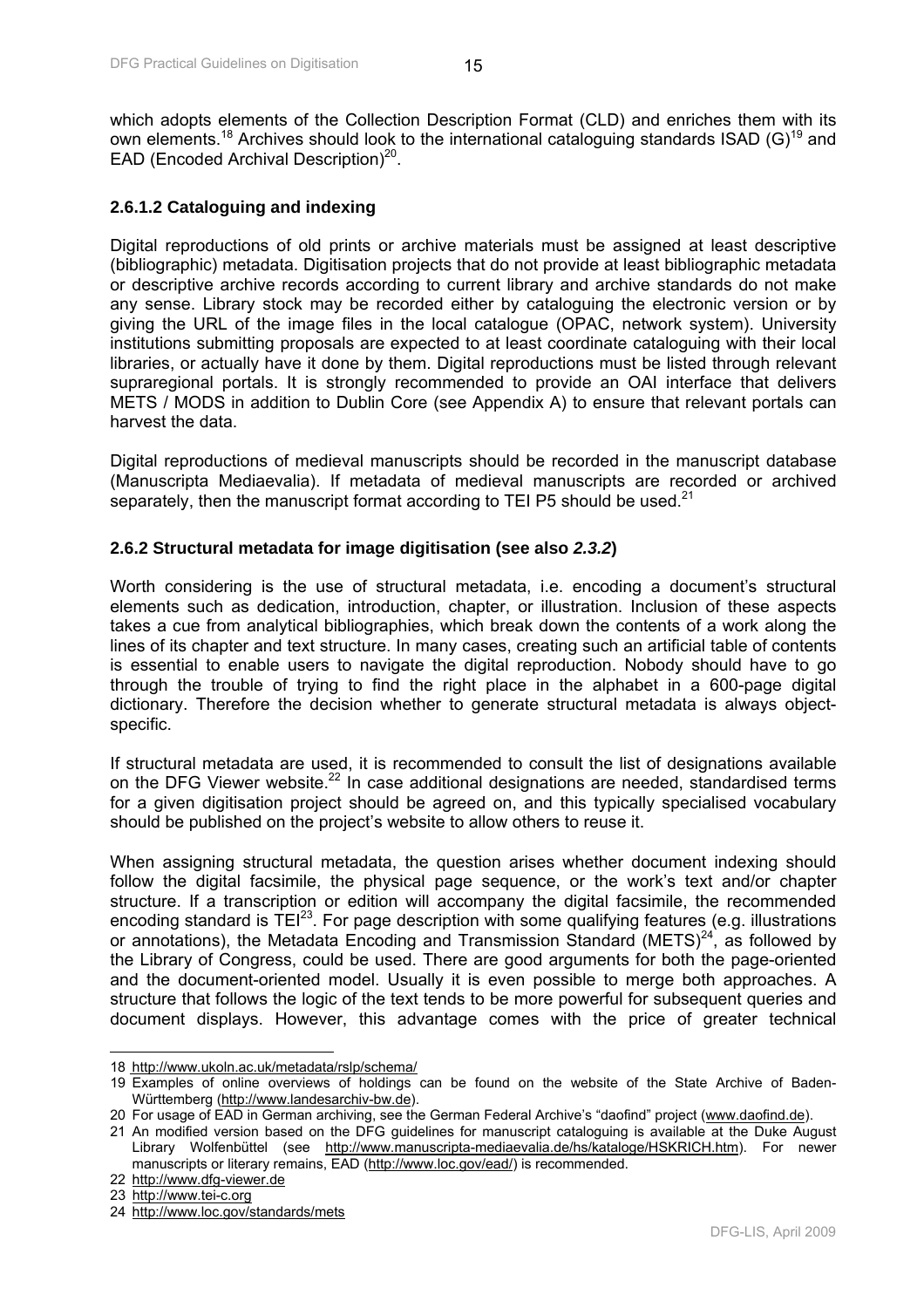<span id="page-15-0"></span>which adopts elements of the Collection Description Format (CLD) and enriches them with its own elements.<sup>18</sup> Archives should look to the international cataloguing standards ISAD (G)<sup>19</sup> and EAD (Encoded Archival Description)<sup>20</sup>.

#### **2.6.1.2 Cataloguing and indexing**

Digital reproductions of old prints or archive materials must be assigned at least descriptive (bibliographic) metadata. Digitisation projects that do not provide at least bibliographic metadata or descriptive archive records according to current library and archive standards do not make any sense. Library stock may be recorded either by cataloguing the electronic version or by giving the URL of the image files in the local catalogue (OPAC, network system). University institutions submitting proposals are expected to at least coordinate cataloguing with their local libraries, or actually have it done by them. Digital reproductions must be listed through relevant supraregional portals. It is strongly recommended to provide an OAI interface that delivers METS / MODS in addition to Dublin Core (see Appendix A) to ensure that relevant portals can harvest the data.

Digital reproductions of medieval manuscripts should be recorded in the manuscript database (Manuscripta Mediaevalia). If metadata of medieval manuscripts are recorded or archived separately, then the manuscript format according to TEI P5 should be used. $21$ 

#### **2.6.2 Structural metadata for image digitisation (see also** *2.3.2***)**

Worth considering is the use of structural metadata, i.e. encoding a document's structural elements such as dedication, introduction, chapter, or illustration. Inclusion of these aspects takes a cue from analytical bibliographies, which break down the contents of a work along the lines of its chapter and text structure. In many cases, creating such an artificial table of contents is essential to enable users to navigate the digital reproduction. Nobody should have to go through the trouble of trying to find the right place in the alphabet in a 600-page digital dictionary. Therefore the decision whether to generate structural metadata is always objectspecific.

If structural metadata are used, it is recommended to consult the list of designations available on the DFG Viewer website.<sup>22</sup> In case additional designations are needed, standardised terms for a given digitisation project should be agreed on, and this typically specialised vocabulary should be published on the project's website to allow others to reuse it.

When assigning structural metadata, the question arises whether document indexing should follow the digital facsimile, the physical page sequence, or the work's text and/or chapter structure. If a transcription or edition will accompany the digital facsimile, the recommended encoding standard is  $TEI^{23}$ . For page description with some qualifying features (e.g. illustrations or annotations), the Metadata Encoding and Transmission Standard (METS) $^{24}$ , as followed by the Library of Congress, could be used. There are good arguments for both the page-oriented and the document-oriented model. Usually it is even possible to merge both approaches. A structure that follows the logic of the text tends to be more powerful for subsequent queries and document displays. However, this advantage comes with the price of greater technical

 $\overline{a}$ 

<sup>18</sup> http://www.ukoln.ac.uk/metadata/rslp/schema/

<sup>19</sup> Examples of online overviews of holdings can be found on the website of the State Archive of Baden-Württemberg (http://www.landesarchiv-bw.de).

<sup>20</sup> For usage of EAD in German archiving, see the German Federal Archive's "daofind" project (www.daofind.de).

<sup>21</sup> An modified version based on the DFG guidelines for manuscript cataloguing is available at the Duke August Library Wolfenbüttel (see http://www.manuscripta-mediaevalia.de/hs/kataloge/HSKRICH.htm). For newer manuscripts or literary remains, EAD (http://www.loc.gov/ead/) is recommended.

<sup>22</sup> http://www.dfg-viewer.de

<sup>23</sup> http://www.tei-c.org

<sup>24</sup> http://www.loc.gov/standards/mets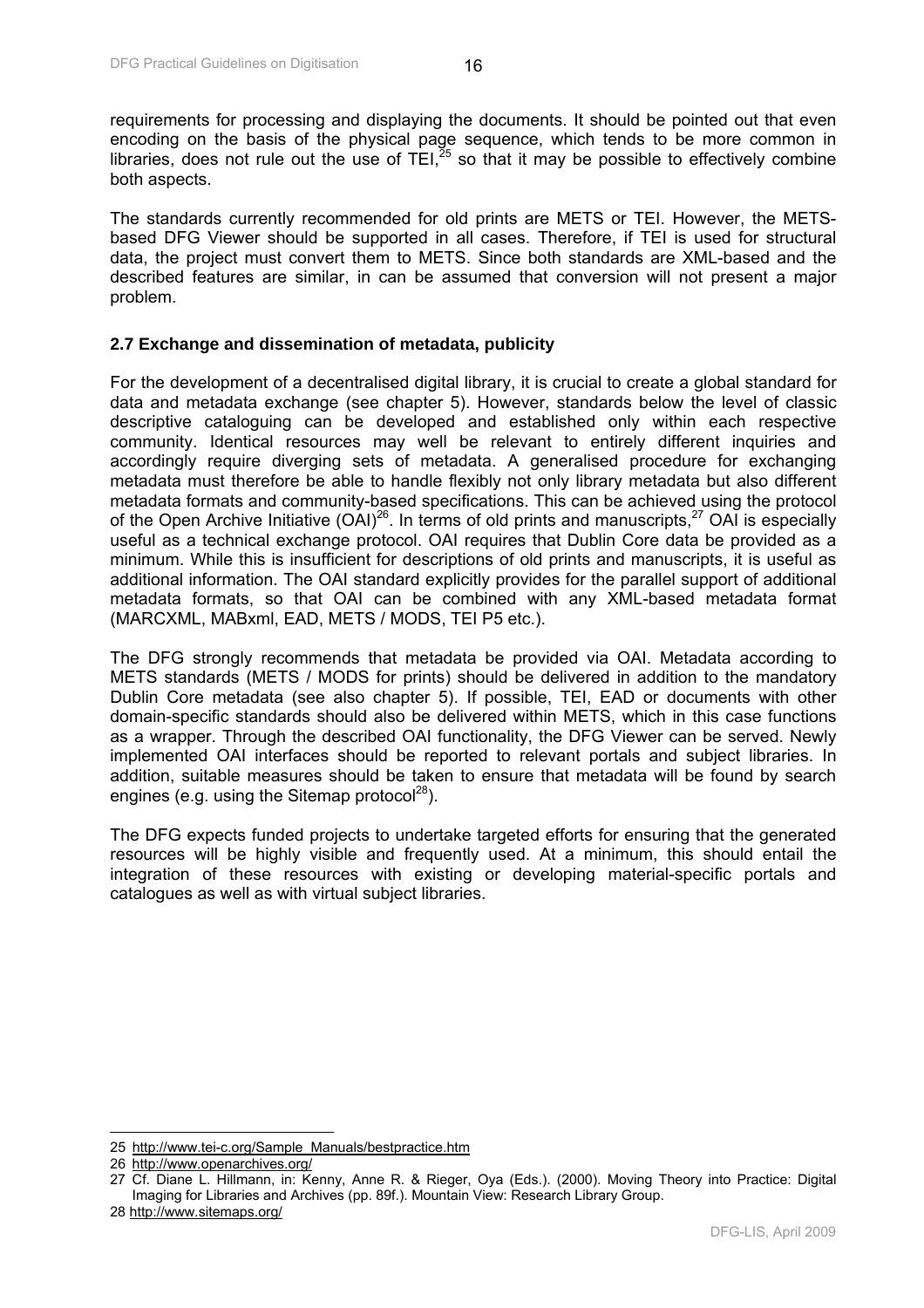<span id="page-16-0"></span>requirements for processing and displaying the documents. It should be pointed out that even encoding on the basis of the physical page sequence, which tends to be more common in libraries, does not rule out the use of TEI, $^{25}$  so that it may be possible to effectively combine both aspects.

The standards currently recommended for old prints are METS or TEI. However, the METSbased DFG Viewer should be supported in all cases. Therefore, if TEI is used for structural data, the project must convert them to METS. Since both standards are XML-based and the described features are similar, in can be assumed that conversion will not present a major problem.

#### **2.7 Exchange and dissemination of metadata, publicity**

For the development of a decentralised digital library, it is crucial to create a global standard for data and metadata exchange (see chapter 5). However, standards below the level of classic descriptive cataloguing can be developed and established only within each respective community. Identical resources may well be relevant to entirely different inquiries and accordingly require diverging sets of metadata. A generalised procedure for exchanging metadata must therefore be able to handle flexibly not only library metadata but also different metadata formats and community-based specifications. This can be achieved using the protocol of the Open Archive Initiative  $(OA)^{26}$ . In terms of old prints and manuscripts,  $27$  OAI is especially useful as a technical exchange protocol. OAI requires that Dublin Core data be provided as a minimum. While this is insufficient for descriptions of old prints and manuscripts, it is useful as additional information. The OAI standard explicitly provides for the parallel support of additional metadata formats, so that OAI can be combined with any XML-based metadata format (MARCXML, MABxml, EAD, METS / MODS, TEI P5 etc.).

The DFG strongly recommends that metadata be provided via OAI. Metadata according to METS standards (METS / MODS for prints) should be delivered in addition to the mandatory Dublin Core metadata (see also chapter 5). If possible, TEI, EAD or documents with other domain-specific standards should also be delivered within METS, which in this case functions as a wrapper. Through the described OAI functionality, the DFG Viewer can be served. Newly implemented OAI interfaces should be reported to relevant portals and subject libraries. In addition, suitable measures should be taken to ensure that metadata will be found by search engines (e.g. using the Sitemap protocol<sup>28</sup>).

The DFG expects funded projects to undertake targeted efforts for ensuring that the generated resources will be highly visible and frequently used. At a minimum, this should entail the integration of these resources with existing or developing material-specific portals and catalogues as well as with virtual subject libraries.

 $\overline{\phantom{a}}$ 25 http://www.tei-c.org/Sample\_Manuals/bestpractice.htm

<sup>26</sup> http://www.openarchives.org/

<sup>27</sup> Cf. Diane L. Hillmann, in: Kenny, Anne R. & Rieger, Oya (Eds.). (2000). Moving Theory into Practice: Digital Imaging for Libraries and Archives (pp. 89f.). Mountain View: Research Library Group.

<sup>28</sup> http://www.sitemaps.org/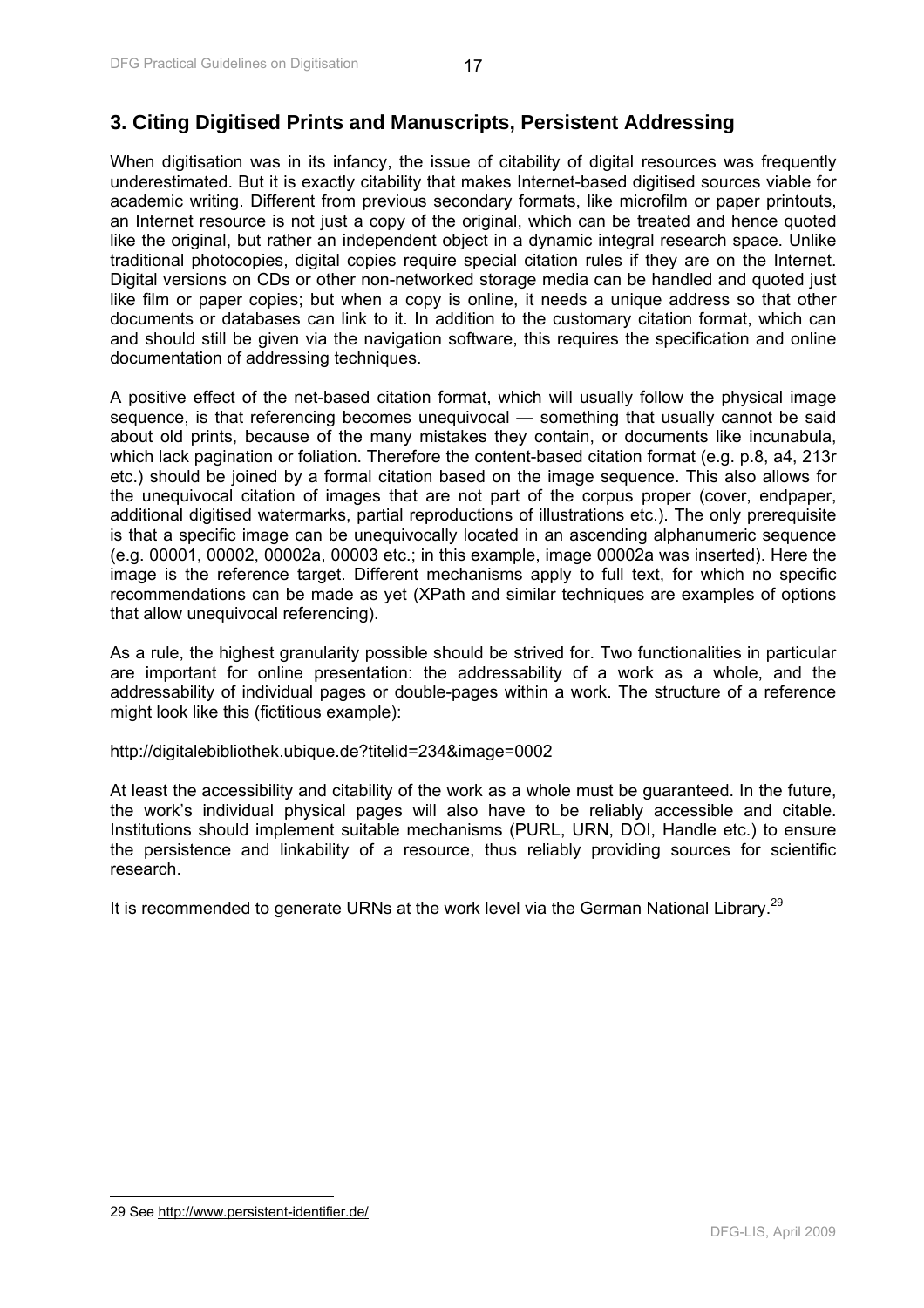# <span id="page-17-0"></span>**3. Citing Digitised Prints and Manuscripts, Persistent Addressing**

When digitisation was in its infancy, the issue of citability of digital resources was frequently underestimated. But it is exactly citability that makes Internet-based digitised sources viable for academic writing. Different from previous secondary formats, like microfilm or paper printouts, an Internet resource is not just a copy of the original, which can be treated and hence quoted like the original, but rather an independent object in a dynamic integral research space. Unlike traditional photocopies, digital copies require special citation rules if they are on the Internet. Digital versions on CDs or other non-networked storage media can be handled and quoted just like film or paper copies; but when a copy is online, it needs a unique address so that other documents or databases can link to it. In addition to the customary citation format, which can and should still be given via the navigation software, this requires the specification and online documentation of addressing techniques.

A positive effect of the net-based citation format, which will usually follow the physical image sequence, is that referencing becomes unequivocal — something that usually cannot be said about old prints, because of the many mistakes they contain, or documents like incunabula, which lack pagination or foliation. Therefore the content-based citation format (e.g. p.8, a4, 213r etc.) should be joined by a formal citation based on the image sequence. This also allows for the unequivocal citation of images that are not part of the corpus proper (cover, endpaper, additional digitised watermarks, partial reproductions of illustrations etc.). The only prerequisite is that a specific image can be unequivocally located in an ascending alphanumeric sequence (e.g. 00001, 00002, 00002a, 00003 etc.; in this example, image 00002a was inserted). Here the image is the reference target. Different mechanisms apply to full text, for which no specific recommendations can be made as yet (XPath and similar techniques are examples of options that allow unequivocal referencing).

As a rule, the highest granularity possible should be strived for. Two functionalities in particular are important for online presentation: the addressability of a work as a whole, and the addressability of individual pages or double-pages within a work. The structure of a reference might look like this (fictitious example):

http://digitalebibliothek.ubique.de?titelid=234&image=0002

At least the accessibility and citability of the work as a whole must be guaranteed. In the future, the work's individual physical pages will also have to be reliably accessible and citable. Institutions should implement suitable mechanisms (PURL, URN, DOI, Handle etc.) to ensure the persistence and linkability of a resource, thus reliably providing sources for scientific research.

It is recommended to generate URNs at the work level via the German National Library.<sup>29</sup>

 $\overline{\phantom{a}}$ 

<sup>29</sup> See http://www.persistent-identifier.de/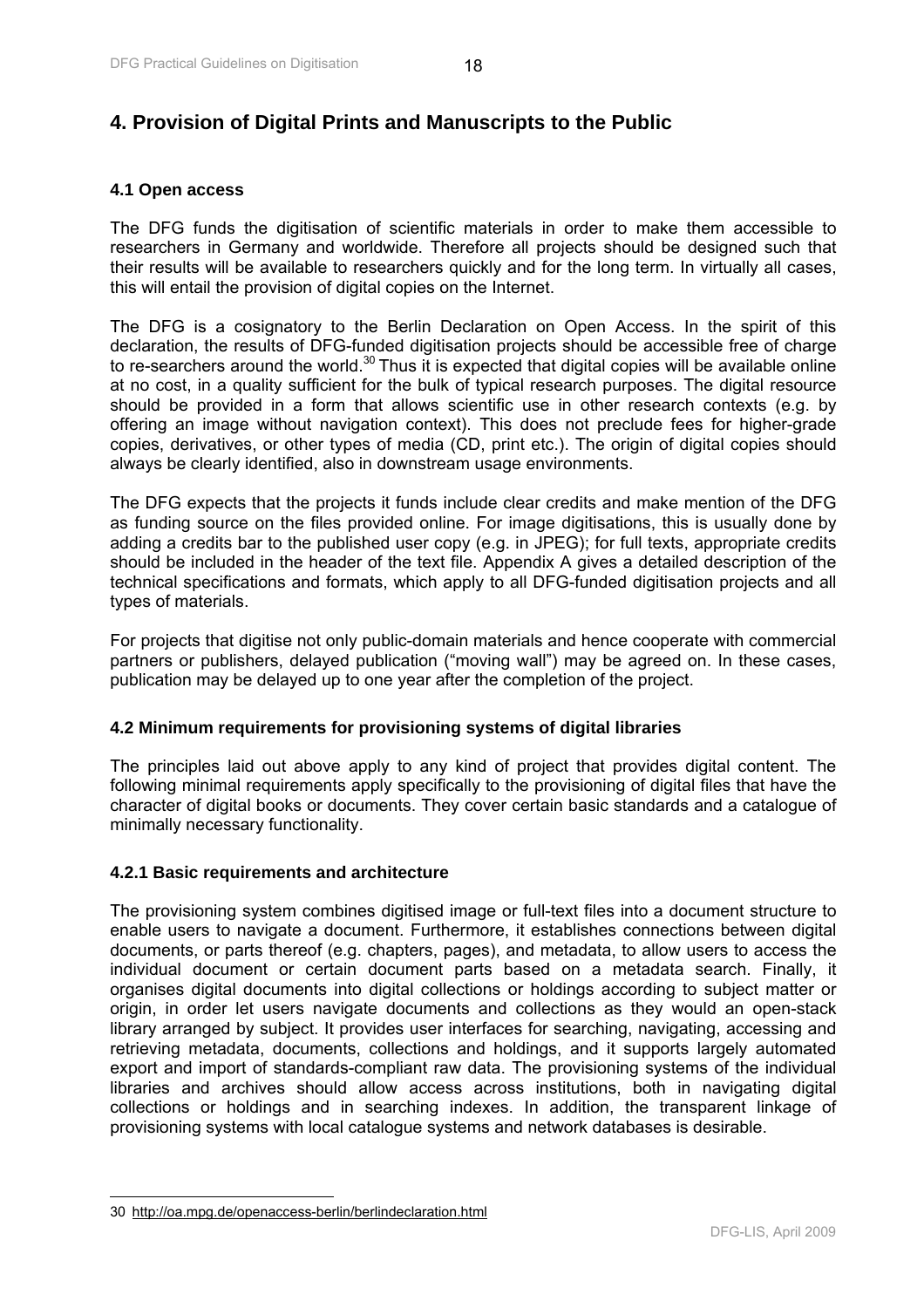# <span id="page-18-0"></span>**4. Provision of Digital Prints and Manuscripts to the Public**

## **4.1 Open access**

The DFG funds the digitisation of scientific materials in order to make them accessible to researchers in Germany and worldwide. Therefore all projects should be designed such that their results will be available to researchers quickly and for the long term. In virtually all cases, this will entail the provision of digital copies on the Internet.

The DFG is a cosignatory to the Berlin Declaration on Open Access. In the spirit of this declaration, the results of DFG-funded digitisation projects should be accessible free of charge to re-searchers around the world.<sup>30</sup> Thus it is expected that digital copies will be available online at no cost, in a quality sufficient for the bulk of typical research purposes. The digital resource should be provided in a form that allows scientific use in other research contexts (e.g. by offering an image without navigation context). This does not preclude fees for higher-grade copies, derivatives, or other types of media (CD, print etc.). The origin of digital copies should always be clearly identified, also in downstream usage environments.

The DFG expects that the projects it funds include clear credits and make mention of the DFG as funding source on the files provided online. For image digitisations, this is usually done by adding a credits bar to the published user copy (e.g. in JPEG); for full texts, appropriate credits should be included in the header of the text file. Appendix A gives a detailed description of the technical specifications and formats, which apply to all DFG-funded digitisation projects and all types of materials.

For projects that digitise not only public-domain materials and hence cooperate with commercial partners or publishers, delayed publication ("moving wall") may be agreed on. In these cases, publication may be delayed up to one year after the completion of the project.

## **4.2 Minimum requirements for provisioning systems of digital libraries**

The principles laid out above apply to any kind of project that provides digital content. The following minimal requirements apply specifically to the provisioning of digital files that have the character of digital books or documents. They cover certain basic standards and a catalogue of minimally necessary functionality.

#### **4.2.1 Basic requirements and architecture**

The provisioning system combines digitised image or full-text files into a document structure to enable users to navigate a document. Furthermore, it establishes connections between digital documents, or parts thereof (e.g. chapters, pages), and metadata, to allow users to access the individual document or certain document parts based on a metadata search. Finally, it organises digital documents into digital collections or holdings according to subject matter or origin, in order let users navigate documents and collections as they would an open-stack library arranged by subject. It provides user interfaces for searching, navigating, accessing and retrieving metadata, documents, collections and holdings, and it supports largely automated export and import of standards-compliant raw data. The provisioning systems of the individual libraries and archives should allow access across institutions, both in navigating digital collections or holdings and in searching indexes. In addition, the transparent linkage of provisioning systems with local catalogue systems and network databases is desirable.

 $\overline{\phantom{a}}$ 

<sup>30</sup> http://oa.mpg.de/openaccess-berlin/berlindeclaration.html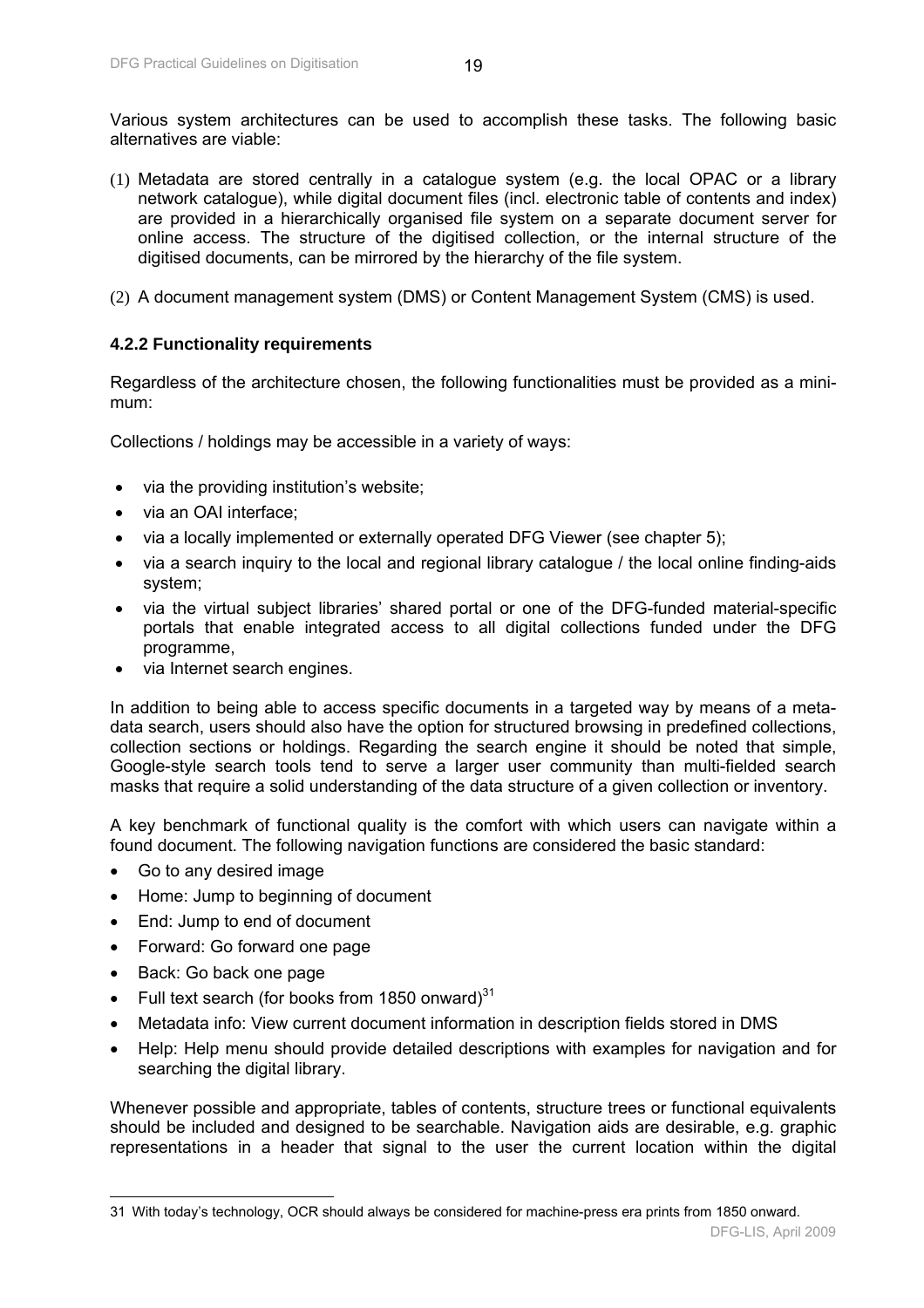<span id="page-19-0"></span>Various system architectures can be used to accomplish these tasks. The following basic alternatives are viable:

- (1) Metadata are stored centrally in a catalogue system (e.g. the local OPAC or a library network catalogue), while digital document files (incl. electronic table of contents and index) are provided in a hierarchically organised file system on a separate document server for online access. The structure of the digitised collection, or the internal structure of the digitised documents, can be mirrored by the hierarchy of the file system.
- (2) A document management system (DMS) or Content Management System (CMS) is used.

## **4.2.2 Functionality requirements**

Regardless of the architecture chosen, the following functionalities must be provided as a minimum:

Collections / holdings may be accessible in a variety of ways:

- via the providing institution's website;
- via an OAI interface;
- via a locally implemented or externally operated DFG Viewer (see chapter 5);
- via a search inquiry to the local and regional library catalogue / the local online finding-aids system;
- via the virtual subject libraries' shared portal or one of the DFG-funded material-specific portals that enable integrated access to all digital collections funded under the DFG programme,
- via Internet search engines.

In addition to being able to access specific documents in a targeted way by means of a metadata search, users should also have the option for structured browsing in predefined collections, collection sections or holdings. Regarding the search engine it should be noted that simple, Google-style search tools tend to serve a larger user community than multi-fielded search masks that require a solid understanding of the data structure of a given collection or inventory.

A key benchmark of functional quality is the comfort with which users can navigate within a found document. The following navigation functions are considered the basic standard:

- Go to any desired image
- Home: Jump to beginning of document
- End: Jump to end of document
- Forward: Go forward one page
- Back: Go back one page

 $\overline{\phantom{a}}$ 

- Full text search (for books from 1850 onward) $31$
- Metadata info: View current document information in description fields stored in DMS
- Help: Help menu should provide detailed descriptions with examples for navigation and for searching the digital library.

Whenever possible and appropriate, tables of contents, structure trees or functional equivalents should be included and designed to be searchable. Navigation aids are desirable, e.g. graphic representations in a header that signal to the user the current location within the digital

<sup>31</sup> With today's technology, OCR should always be considered for machine-press era prints from 1850 onward.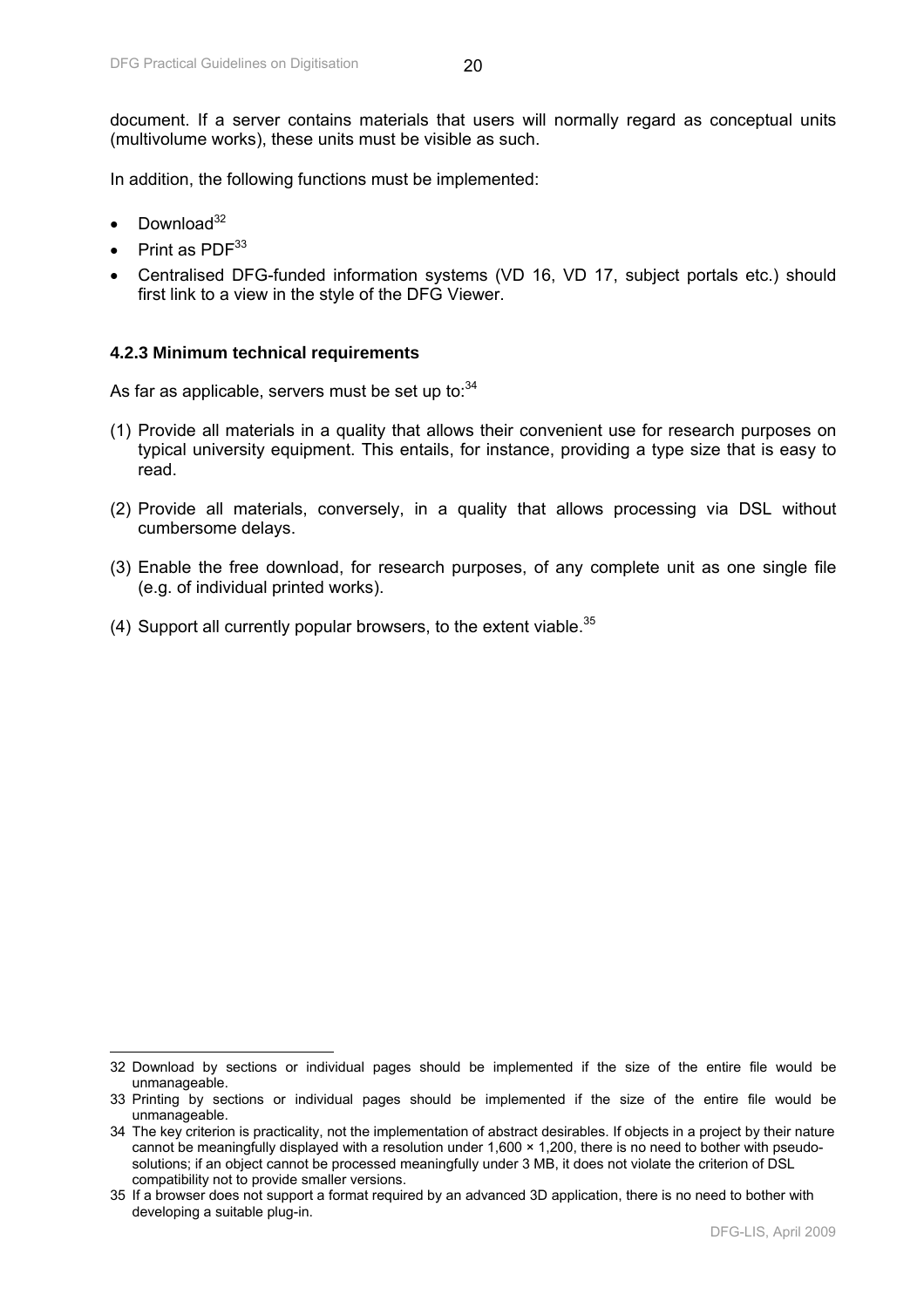<span id="page-20-0"></span>In addition, the following functions must be implemented:

- Download $32$
- Print as PDF<sup>33</sup>
- Centralised DFG-funded information systems (VD 16, VD 17, subject portals etc.) should first link to a view in the style of the DFG Viewer.

## **4.2.3 Minimum technical requirements**

As far as applicable, servers must be set up to: $34$ 

- (1) Provide all materials in a quality that allows their convenient use for research purposes on typical university equipment. This entails, for instance, providing a type size that is easy to read.
- (2) Provide all materials, conversely, in a quality that allows processing via DSL without cumbersome delays.
- (3) Enable the free download, for research purposes, of any complete unit as one single file (e.g. of individual printed works).
- (4) Support all currently popular browsers, to the extent viable.  $35$

 $\overline{a}$ 32 Download by sections or individual pages should be implemented if the size of the entire file would be unmanageable.

<sup>33</sup> Printing by sections or individual pages should be implemented if the size of the entire file would be unmanageable.

<sup>34</sup> The key criterion is practicality, not the implementation of abstract desirables. If objects in a project by their nature cannot be meaningfully displayed with a resolution under 1,600 × 1,200, there is no need to bother with pseudosolutions; if an object cannot be processed meaningfully under 3 MB, it does not violate the criterion of DSL compatibility not to provide smaller versions.

<sup>35</sup> If a browser does not support a format required by an advanced 3D application, there is no need to bother with developing a suitable plug-in.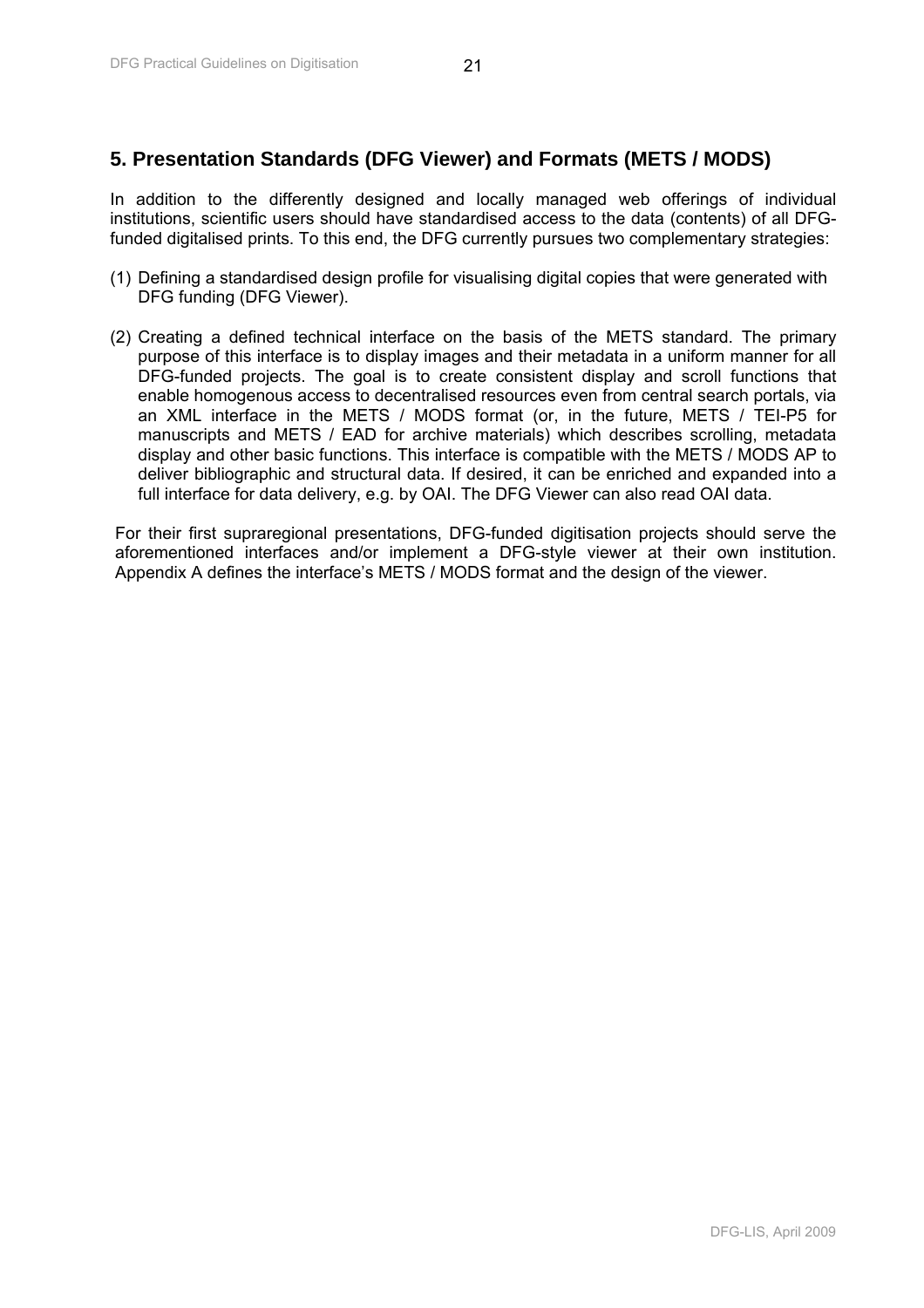# <span id="page-21-0"></span>**5. Presentation Standards (DFG Viewer) and Formats (METS / MODS)**

In addition to the differently designed and locally managed web offerings of individual institutions, scientific users should have standardised access to the data (contents) of all DFGfunded digitalised prints. To this end, the DFG currently pursues two complementary strategies:

- (1) Defining a standardised design profile for visualising digital copies that were generated with DFG funding (DFG Viewer).
- (2) Creating a defined technical interface on the basis of the METS standard. The primary purpose of this interface is to display images and their metadata in a uniform manner for all DFG-funded projects. The goal is to create consistent display and scroll functions that enable homogenous access to decentralised resources even from central search portals, via an XML interface in the METS / MODS format (or, in the future, METS / TEI-P5 for manuscripts and METS / EAD for archive materials) which describes scrolling, metadata display and other basic functions. This interface is compatible with the METS / MODS AP to deliver bibliographic and structural data. If desired, it can be enriched and expanded into a full interface for data delivery, e.g. by OAI. The DFG Viewer can also read OAI data.

For their first supraregional presentations, DFG-funded digitisation projects should serve the aforementioned interfaces and/or implement a DFG-style viewer at their own institution. Appendix A defines the interface's METS / MODS format and the design of the viewer.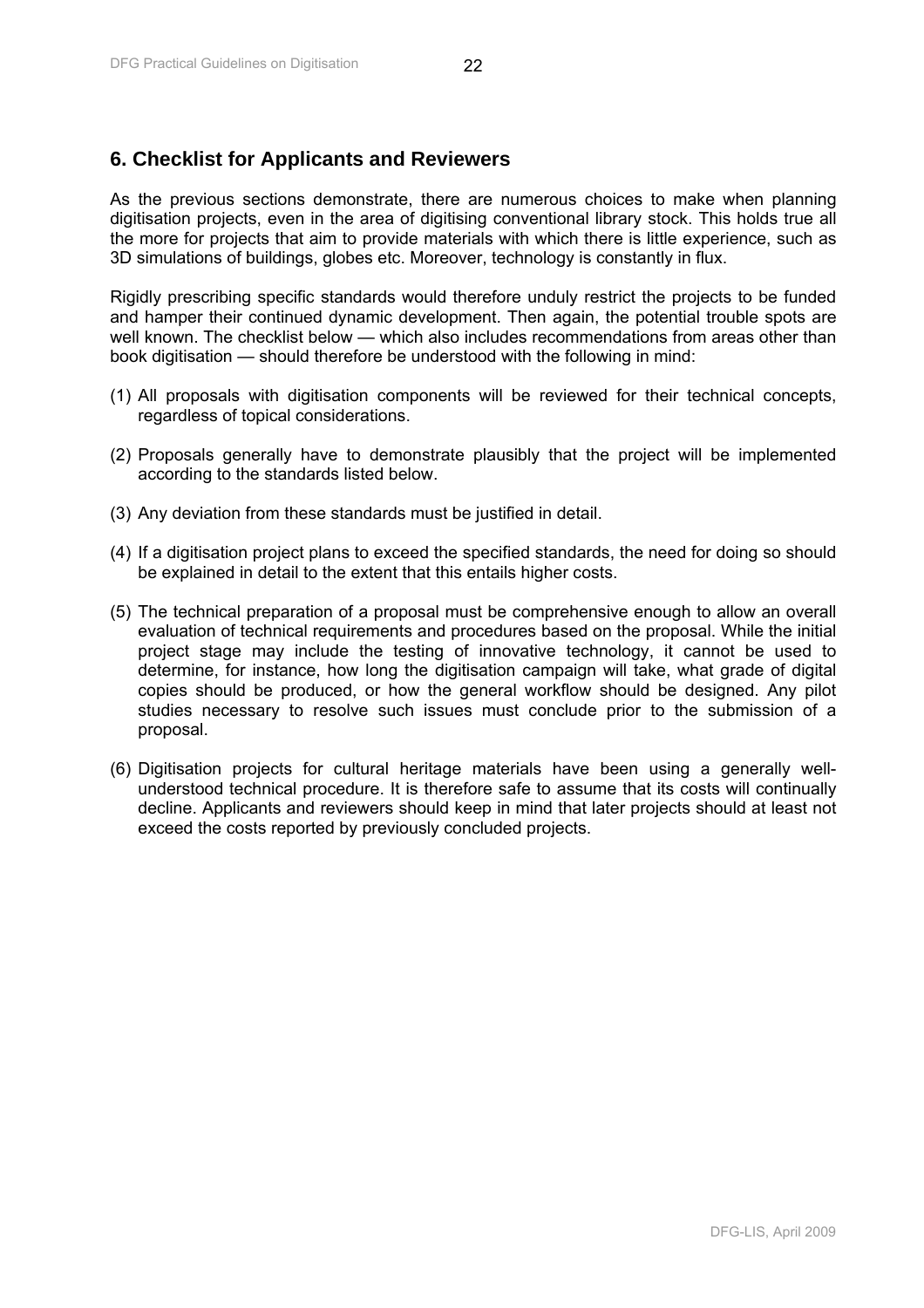# <span id="page-22-0"></span>**6. Checklist for Applicants and Reviewers**

As the previous sections demonstrate, there are numerous choices to make when planning digitisation projects, even in the area of digitising conventional library stock. This holds true all the more for projects that aim to provide materials with which there is little experience, such as 3D simulations of buildings, globes etc. Moreover, technology is constantly in flux.

Rigidly prescribing specific standards would therefore unduly restrict the projects to be funded and hamper their continued dynamic development. Then again, the potential trouble spots are well known. The checklist below — which also includes recommendations from areas other than book digitisation — should therefore be understood with the following in mind:

- (1) All proposals with digitisation components will be reviewed for their technical concepts, regardless of topical considerations.
- (2) Proposals generally have to demonstrate plausibly that the project will be implemented according to the standards listed below.
- (3) Any deviation from these standards must be justified in detail.
- (4) If a digitisation project plans to exceed the specified standards, the need for doing so should be explained in detail to the extent that this entails higher costs.
- (5) The technical preparation of a proposal must be comprehensive enough to allow an overall evaluation of technical requirements and procedures based on the proposal. While the initial project stage may include the testing of innovative technology, it cannot be used to determine, for instance, how long the digitisation campaign will take, what grade of digital copies should be produced, or how the general workflow should be designed. Any pilot studies necessary to resolve such issues must conclude prior to the submission of a proposal.
- (6) Digitisation projects for cultural heritage materials have been using a generally wellunderstood technical procedure. It is therefore safe to assume that its costs will continually decline. Applicants and reviewers should keep in mind that later projects should at least not exceed the costs reported by previously concluded projects.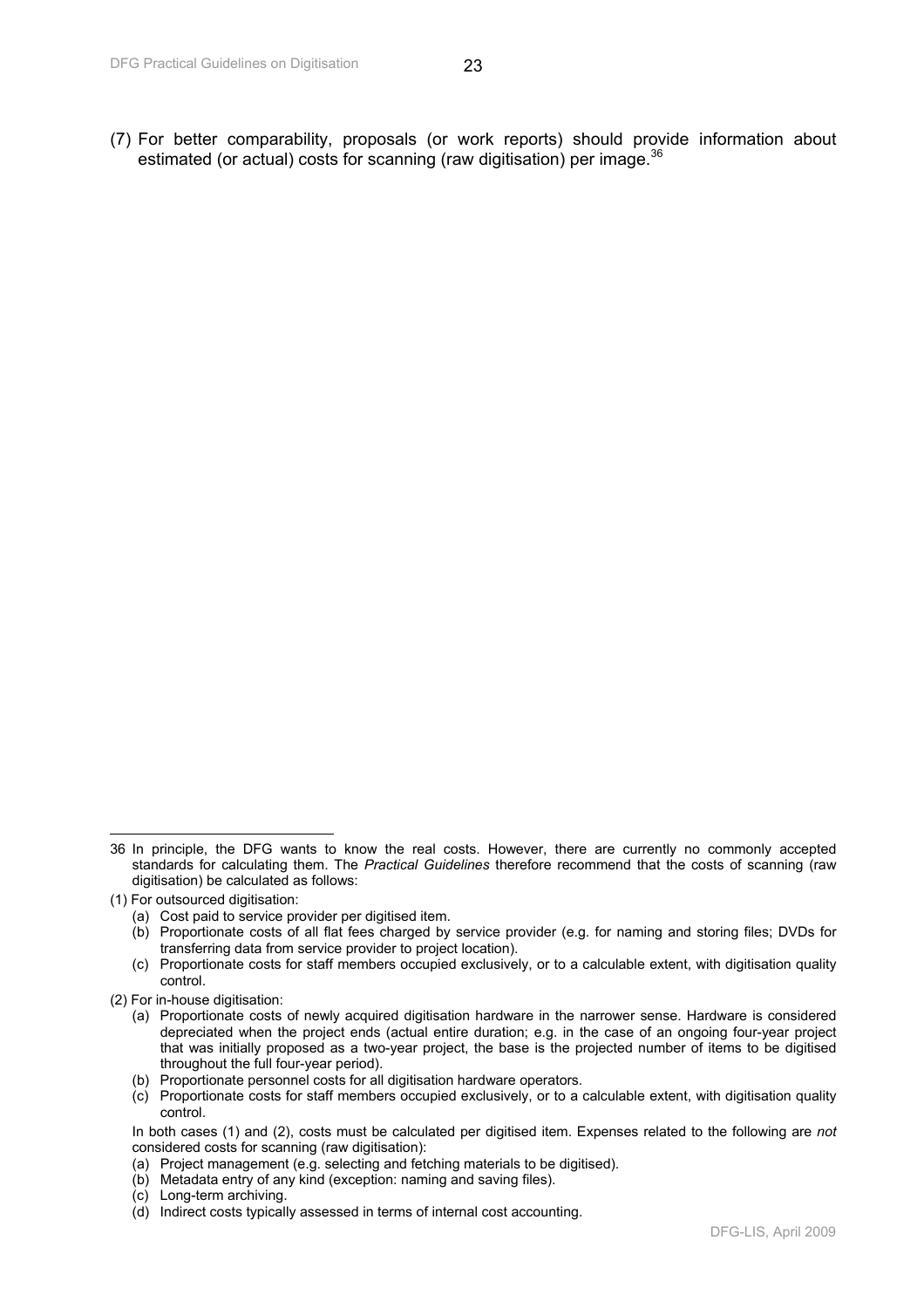(7) For better comparability, proposals (or work reports) should provide information about estimated (or actual) costs for scanning (raw digitisation) per image.<sup>36</sup>

 $\overline{a}$ 36 In principle, the DFG wants to know the real costs. However, there are currently no commonly accepted standards for calculating them. The *Practical Guidelines* therefore recommend that the costs of scanning (raw digitisation) be calculated as follows:

<sup>(1)</sup> For outsourced digitisation:

<sup>(</sup>a) Cost paid to service provider per digitised item.

<sup>(</sup>b) Proportionate costs of all flat fees charged by service provider (e.g. for naming and storing files; DVDs for transferring data from service provider to project location).

<sup>(</sup>c) Proportionate costs for staff members occupied exclusively, or to a calculable extent, with digitisation quality control.

<sup>(2)</sup> For in-house digitisation:

<sup>(</sup>a) Proportionate costs of newly acquired digitisation hardware in the narrower sense. Hardware is considered depreciated when the project ends (actual entire duration; e.g. in the case of an ongoing four-year project that was initially proposed as a two-year project, the base is the projected number of items to be digitised throughout the full four-year period).

<sup>(</sup>b) Proportionate personnel costs for all digitisation hardware operators.

<sup>(</sup>c) Proportionate costs for staff members occupied exclusively, or to a calculable extent, with digitisation quality control.

In both cases (1) and (2), costs must be calculated per digitised item. Expenses related to the following are *not* considered costs for scanning (raw digitisation):

<sup>(</sup>a) Project management (e.g. selecting and fetching materials to be digitised).

<sup>(</sup>b) Metadata entry of any kind (exception: naming and saving files).

<sup>(</sup>c) Long-term archiving.

<sup>(</sup>d) Indirect costs typically assessed in terms of internal cost accounting.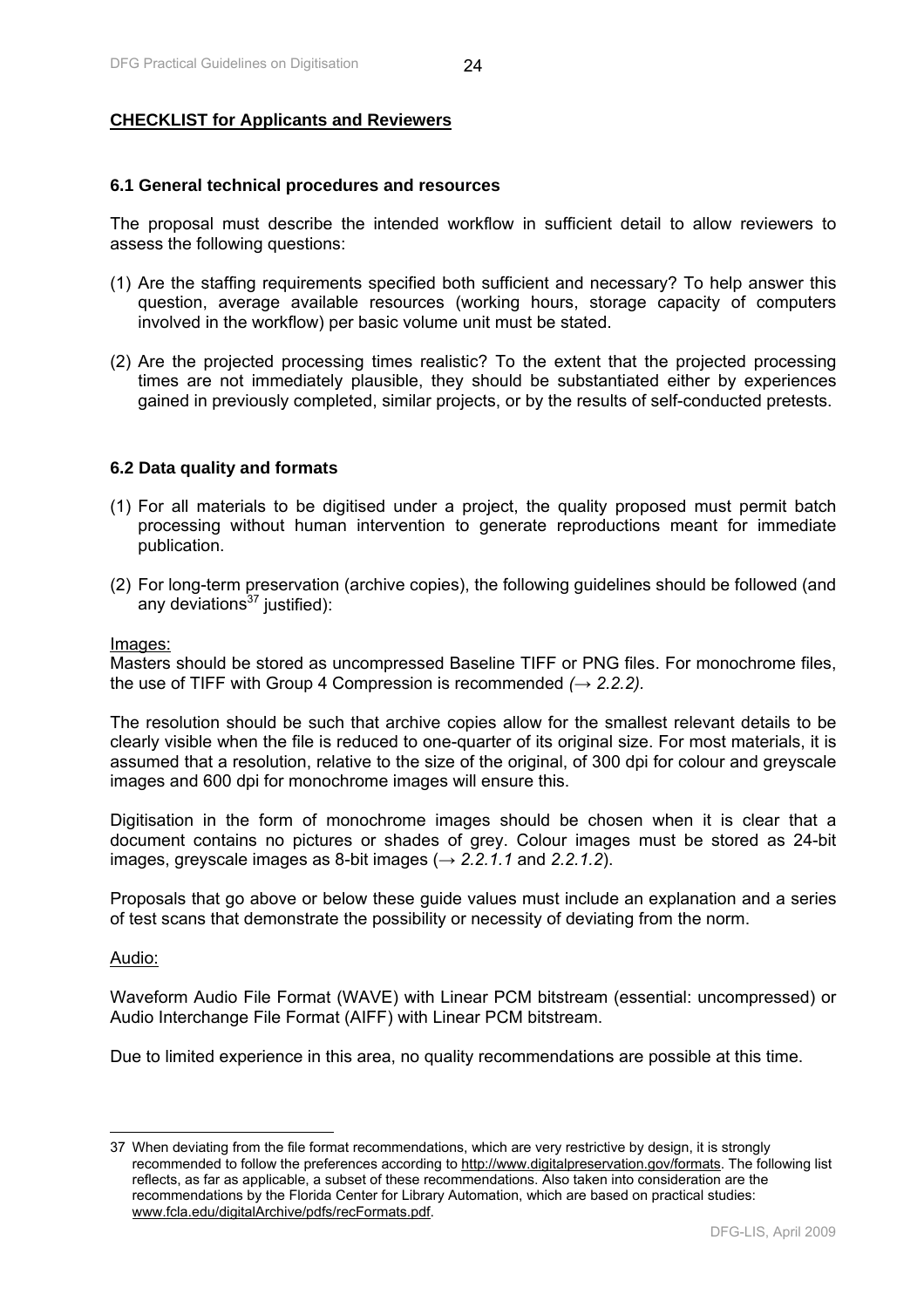#### <span id="page-24-0"></span>**CHECKLIST for Applicants and Reviewers**

#### **6.1 General technical procedures and resources**

The proposal must describe the intended workflow in sufficient detail to allow reviewers to assess the following questions:

- (1) Are the staffing requirements specified both sufficient and necessary? To help answer this question, average available resources (working hours, storage capacity of computers involved in the workflow) per basic volume unit must be stated.
- (2) Are the projected processing times realistic? To the extent that the projected processing times are not immediately plausible, they should be substantiated either by experiences gained in previously completed, similar projects, or by the results of self-conducted pretests.

#### **6.2 Data quality and formats**

- (1) For all materials to be digitised under a project, the quality proposed must permit batch processing without human intervention to generate reproductions meant for immediate publication.
- (2) For long-term preservation (archive copies), the following guidelines should be followed (and any deviations $37$  justified):

#### Images:

Masters should be stored as uncompressed Baseline TIFF or PNG files. For monochrome files, the use of TIFF with Group 4 Compression is recommended *(→ 2.2.2).* 

The resolution should be such that archive copies allow for the smallest relevant details to be clearly visible when the file is reduced to one-quarter of its original size. For most materials, it is assumed that a resolution, relative to the size of the original, of 300 dpi for colour and greyscale images and 600 dpi for monochrome images will ensure this.

Digitisation in the form of monochrome images should be chosen when it is clear that a document contains no pictures or shades of grey. Colour images must be stored as 24-bit images, greyscale images as 8-bit images (*→ 2.2.1.1* and *2.2.1.2*).

Proposals that go above or below these guide values must include an explanation and a series of test scans that demonstrate the possibility or necessity of deviating from the norm.

#### Audio:

 $\overline{\phantom{a}}$ 

Waveform Audio File Format (WAVE) with Linear PCM bitstream (essential: uncompressed) or Audio Interchange File Format (AIFF) with Linear PCM bitstream.

Due to limited experience in this area, no quality recommendations are possible at this time.

<sup>37</sup> When deviating from the file format recommendations, which are very restrictive by design, it is strongly recommended to follow the preferences according to http://www.digitalpreservation.gov/formats. The following list reflects, as far as applicable, a subset of these recommendations. Also taken into consideration are the recommendations by the Florida Center for Library Automation, which are based on practical studies: www.fcla.edu/digitalArchive/pdfs/recFormats.pdf.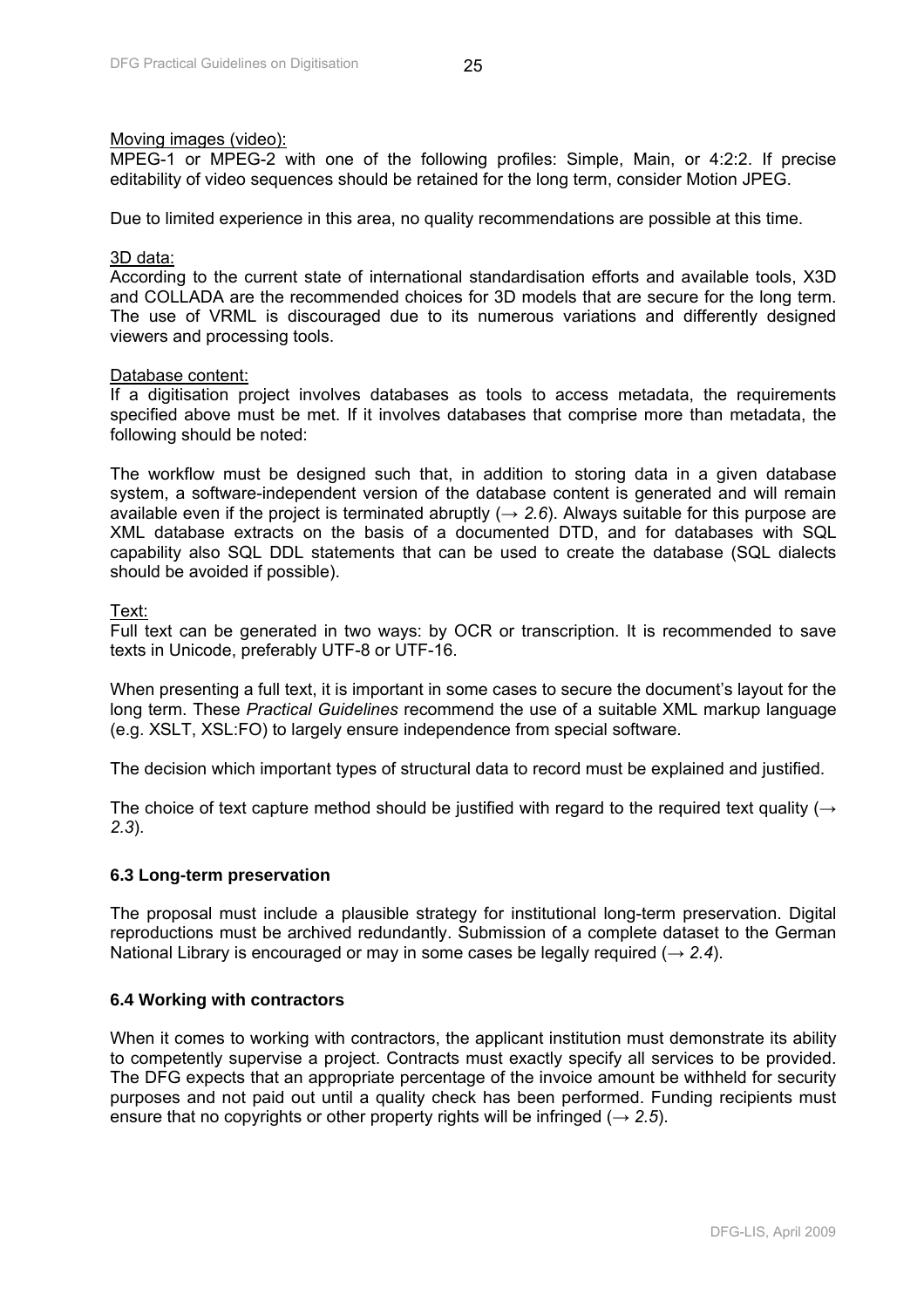#### <span id="page-25-0"></span>Moving images (video):

MPEG-1 or MPEG-2 with one of the following profiles: Simple, Main, or 4:2:2. If precise editability of video sequences should be retained for the long term, consider Motion JPEG.

Due to limited experience in this area, no quality recommendations are possible at this time.

#### 3D data:

According to the current state of international standardisation efforts and available tools, X3D and COLLADA are the recommended choices for 3D models that are secure for the long term. The use of VRML is discouraged due to its numerous variations and differently designed viewers and processing tools.

#### Database content:

If a digitisation project involves databases as tools to access metadata, the requirements specified above must be met. If it involves databases that comprise more than metadata, the following should be noted:

The workflow must be designed such that, in addition to storing data in a given database system, a software-independent version of the database content is generated and will remain available even if the project is terminated abruptly ( $\rightarrow$  2.6). Always suitable for this purpose are XML database extracts on the basis of a documented DTD, and for databases with SQL capability also SQL DDL statements that can be used to create the database (SQL dialects should be avoided if possible).

#### Text:

Full text can be generated in two ways: by OCR or transcription. It is recommended to save texts in Unicode, preferably UTF-8 or UTF-16.

When presenting a full text, it is important in some cases to secure the document's layout for the long term. These *Practical Guidelines* recommend the use of a suitable XML markup language (e.g. XSLT, XSL:FO) to largely ensure independence from special software.

The decision which important types of structural data to record must be explained and justified.

The choice of text capture method should be justified with regard to the required text quality ( $\rightarrow$ *2.3*).

#### **6.3 Long-term preservation**

The proposal must include a plausible strategy for institutional long-term preservation. Digital reproductions must be archived redundantly. Submission of a complete dataset to the German National Library is encouraged or may in some cases be legally required (*→ 2.4*).

#### **6.4 Working with contractors**

When it comes to working with contractors, the applicant institution must demonstrate its ability to competently supervise a project. Contracts must exactly specify all services to be provided. The DFG expects that an appropriate percentage of the invoice amount be withheld for security purposes and not paid out until a quality check has been performed. Funding recipients must ensure that no copyrights or other property rights will be infringed ( $\rightarrow$  2.5).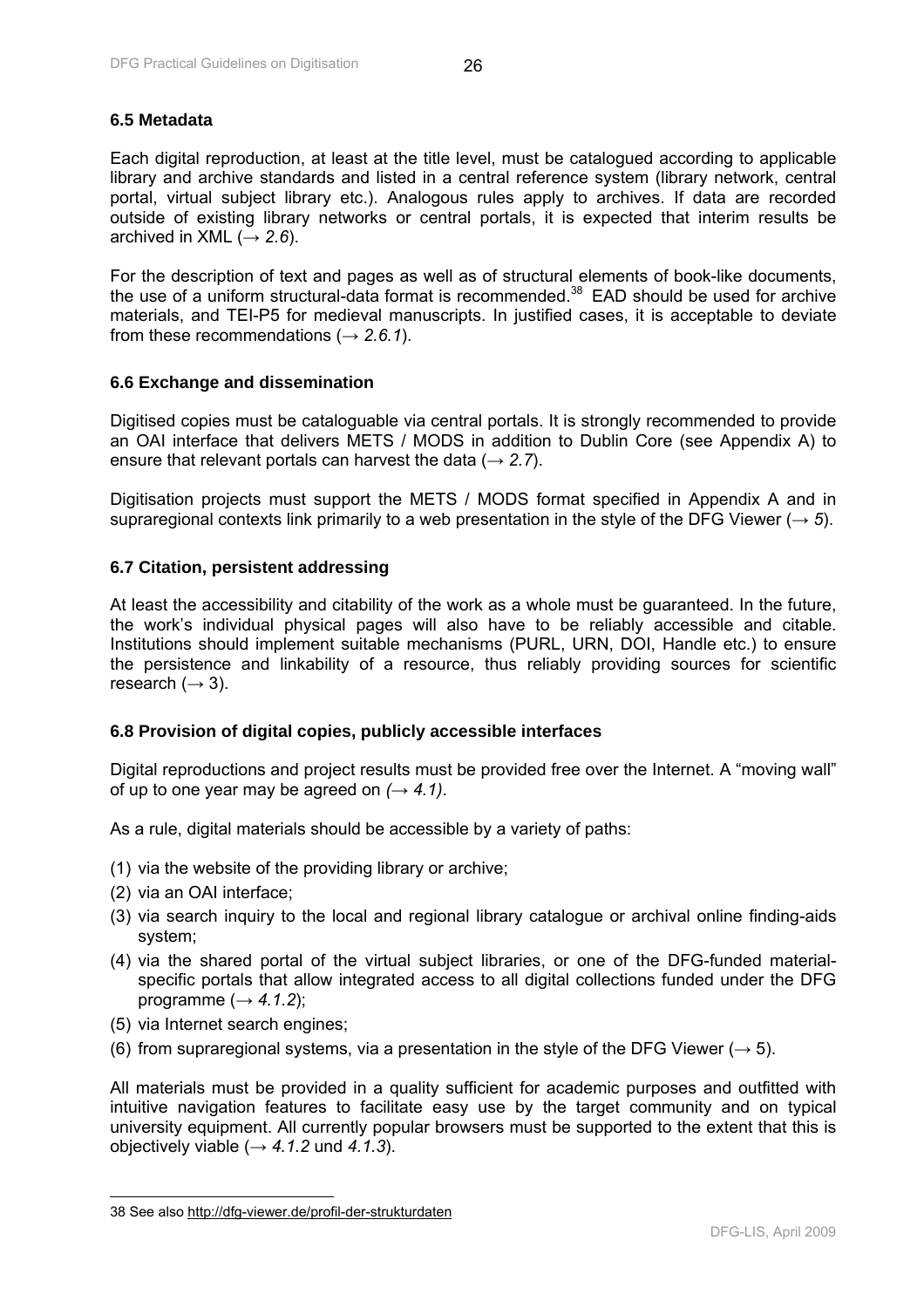## <span id="page-26-0"></span>**6.5 Metadata**

Each digital reproduction, at least at the title level, must be catalogued according to applicable library and archive standards and listed in a central reference system (library network, central portal, virtual subject library etc.). Analogous rules apply to archives. If data are recorded outside of existing library networks or central portals, it is expected that interim results be archived in XML  $(\rightarrow 2.6)$ .

For the description of text and pages as well as of structural elements of book-like documents, the use of a uniform structural-data format is recommended.<sup>38</sup> EAD should be used for archive materials, and TEI-P5 for medieval manuscripts. In justified cases, it is acceptable to deviate from these recommendations (*→ 2.6.1*).

#### **6.6 Exchange and dissemination**

Digitised copies must be cataloguable via central portals. It is strongly recommended to provide an OAI interface that delivers METS / MODS in addition to Dublin Core (see Appendix A) to ensure that relevant portals can harvest the data (*→ 2.7*).

Digitisation projects must support the METS / MODS format specified in Appendix A and in supraregional contexts link primarily to a web presentation in the style of the DFG Viewer ( $\rightarrow$  5).

#### **6.7 Citation, persistent addressing**

At least the accessibility and citability of the work as a whole must be guaranteed. In the future, the work's individual physical pages will also have to be reliably accessible and citable. Institutions should implement suitable mechanisms (PURL, URN, DOI, Handle etc.) to ensure the persistence and linkability of a resource, thus reliably providing sources for scientific research  $(\rightarrow 3)$ .

#### **6.8 Provision of digital copies, publicly accessible interfaces**

Digital reproductions and project results must be provided free over the Internet. A "moving wall" of up to one year may be agreed on  $(\rightarrow 4.1)$ .

As a rule, digital materials should be accessible by a variety of paths:

- (1) via the website of the providing library or archive;
- (2) via an OAI interface;

 $\overline{\phantom{a}}$ 

- (3) via search inquiry to the local and regional library catalogue or archival online finding-aids system;
- (4) via the shared portal of the virtual subject libraries, or one of the DFG-funded materialspecific portals that allow integrated access to all digital collections funded under the DFG programme  $(\rightarrow 4.1.2)$ ;
- (5) via Internet search engines;
- (6) from supraregional systems, via a presentation in the style of the DFG Viewer (*→* 5).

All materials must be provided in a quality sufficient for academic purposes and outfitted with intuitive navigation features to facilitate easy use by the target community and on typical university equipment. All currently popular browsers must be supported to the extent that this is objectively viable  $(\rightarrow 4.1.2 \text{ und } 4.1.3)$ .

<sup>38</sup> See also http://dfg-viewer.de/profil-der-strukturdaten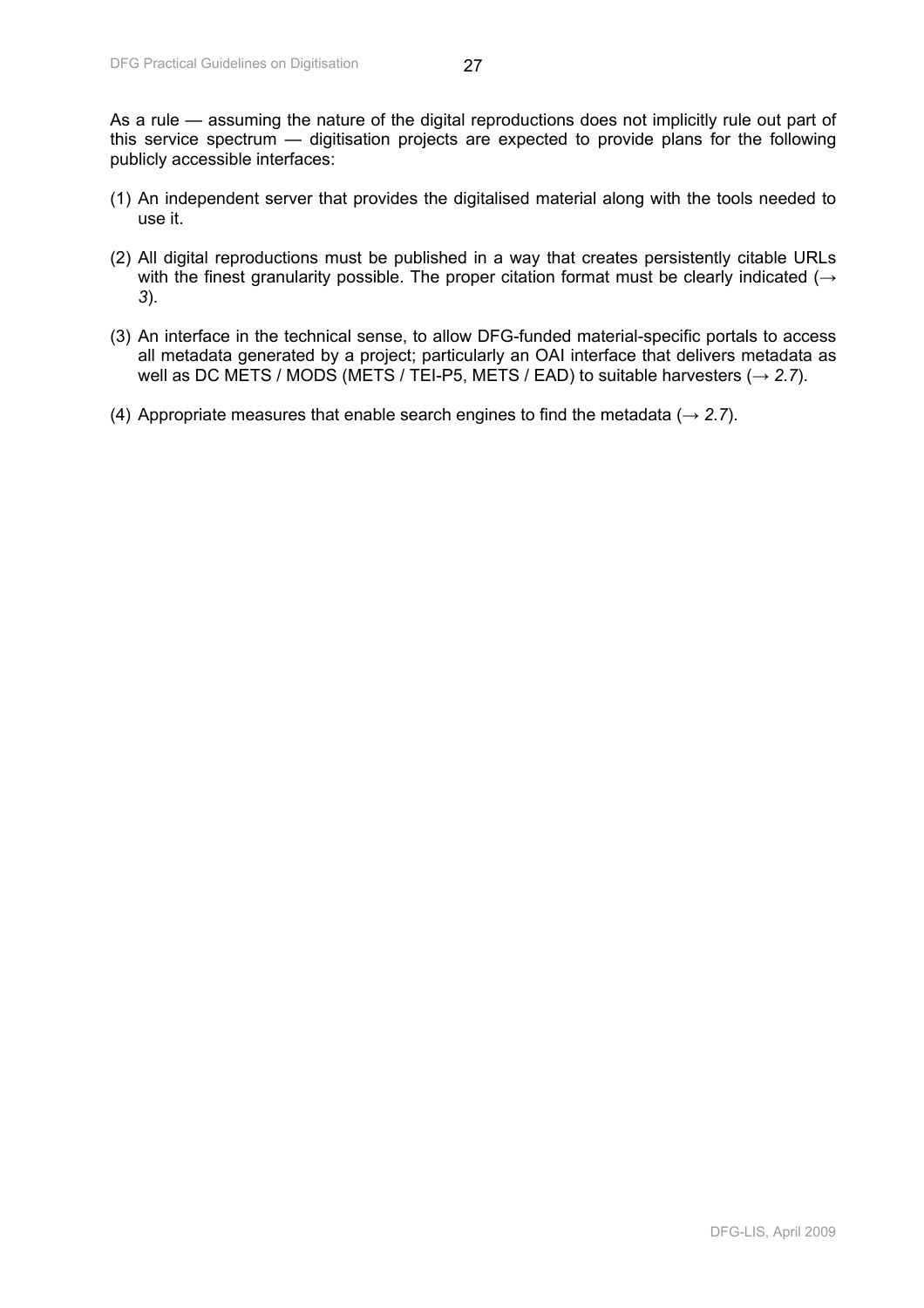As a rule — assuming the nature of the digital reproductions does not implicitly rule out part of this service spectrum — digitisation projects are expected to provide plans for the following publicly accessible interfaces:

- (1) An independent server that provides the digitalised material along with the tools needed to use it.
- (2) All digital reproductions must be published in a way that creates persistently citable URLs with the finest granularity possible. The proper citation format must be clearly indicated (*→ 3*).
- (3) An interface in the technical sense, to allow DFG-funded material-specific portals to access all metadata generated by a project; particularly an OAI interface that delivers metadata as well as DC METS / MODS (METS / TEI-P5, METS / EAD) to suitable harvesters (*→ 2.7*).
- (4) Appropriate measures that enable search engines to find the metadata (*→ 2.7*).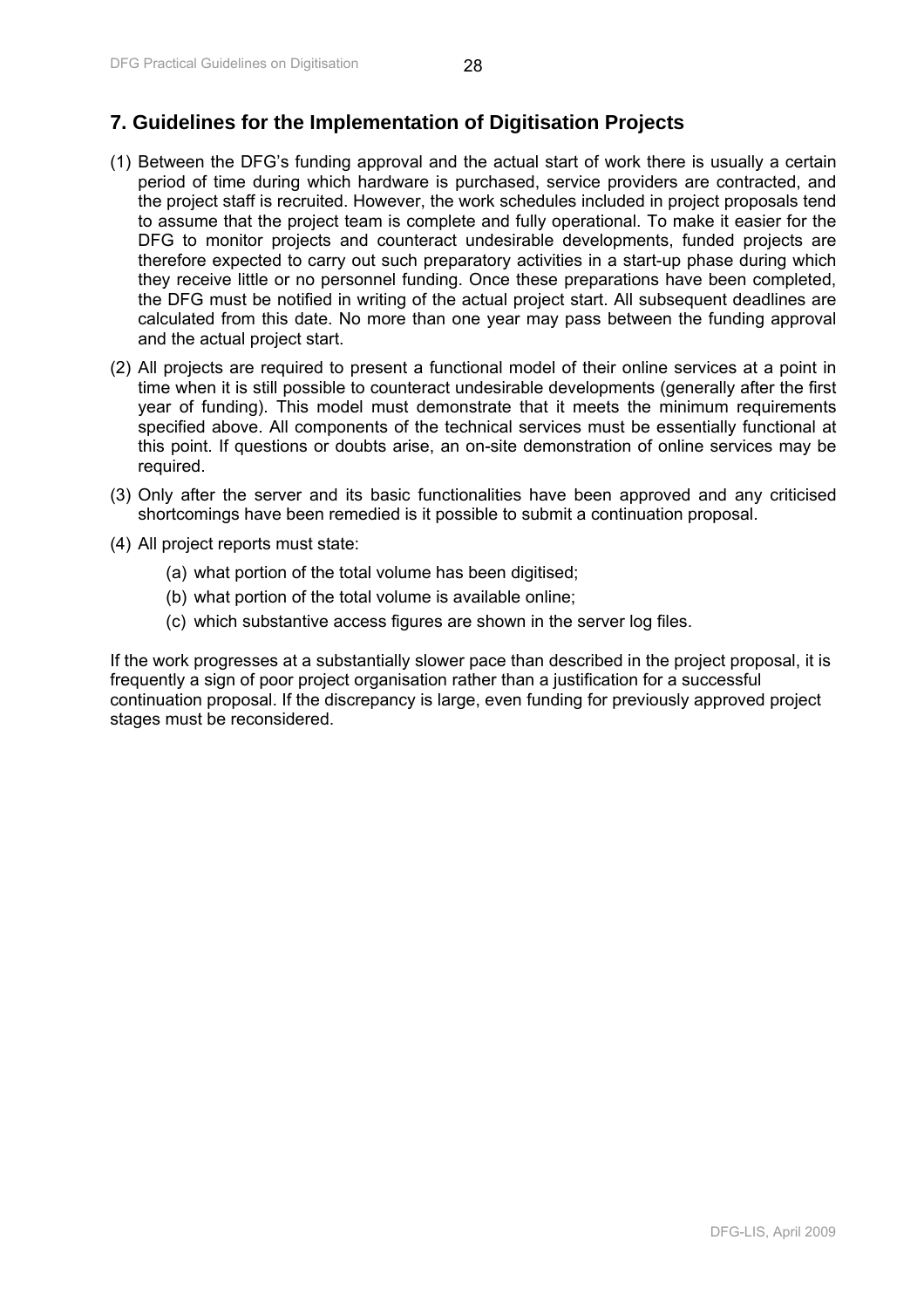# <span id="page-28-0"></span>**7. Guidelines for the Implementation of Digitisation Projects**

- (1) Between the DFG's funding approval and the actual start of work there is usually a certain period of time during which hardware is purchased, service providers are contracted, and the project staff is recruited. However, the work schedules included in project proposals tend to assume that the project team is complete and fully operational. To make it easier for the DFG to monitor projects and counteract undesirable developments, funded projects are therefore expected to carry out such preparatory activities in a start-up phase during which they receive little or no personnel funding. Once these preparations have been completed, the DFG must be notified in writing of the actual project start. All subsequent deadlines are calculated from this date. No more than one year may pass between the funding approval and the actual project start.
- (2) All projects are required to present a functional model of their online services at a point in time when it is still possible to counteract undesirable developments (generally after the first year of funding). This model must demonstrate that it meets the minimum requirements specified above. All components of the technical services must be essentially functional at this point. If questions or doubts arise, an on-site demonstration of online services may be required.
- (3) Only after the server and its basic functionalities have been approved and any criticised shortcomings have been remedied is it possible to submit a continuation proposal.
- (4) All project reports must state:
	- (a) what portion of the total volume has been digitised;
	- (b) what portion of the total volume is available online;
	- (c) which substantive access figures are shown in the server log files.

If the work progresses at a substantially slower pace than described in the project proposal, it is frequently a sign of poor project organisation rather than a justification for a successful continuation proposal. If the discrepancy is large, even funding for previously approved project stages must be reconsidered.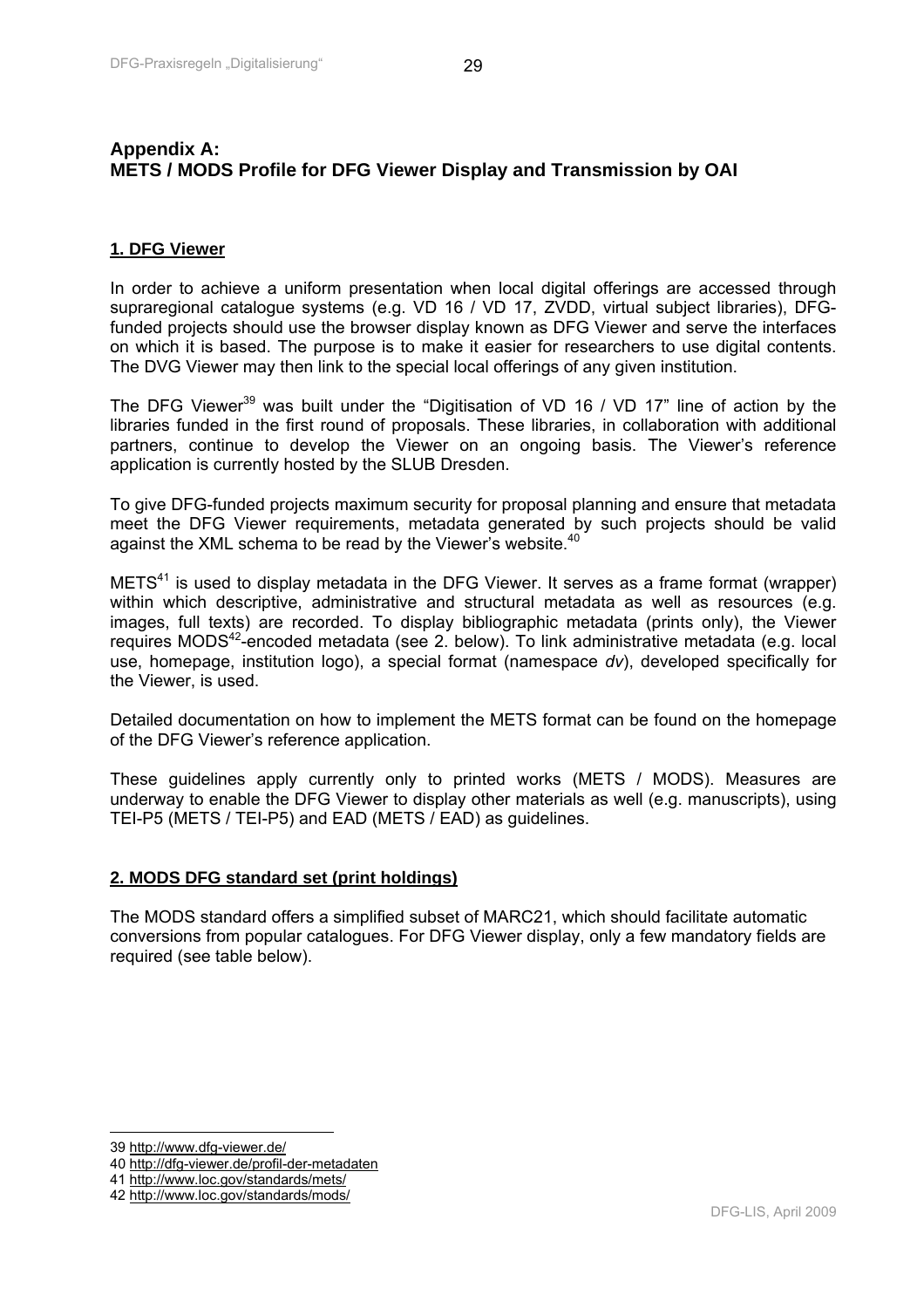# <span id="page-29-0"></span>**Appendix A: METS / MODS Profile for DFG Viewer Display and Transmission by OAI**

# **1. DFG Viewer**

In order to achieve a uniform presentation when local digital offerings are accessed through supraregional catalogue systems (e.g. VD 16 / VD 17, ZVDD, virtual subject libraries), DFGfunded projects should use the browser display known as DFG Viewer and serve the interfaces on which it is based. The purpose is to make it easier for researchers to use digital contents. The DVG Viewer may then link to the special local offerings of any given institution.

The DFG Viewer<sup>39</sup> was built under the "Digitisation of VD 16 / VD 17" line of action by the libraries funded in the first round of proposals. These libraries, in collaboration with additional partners, continue to develop the Viewer on an ongoing basis. The Viewer's reference application is currently hosted by the SLUB Dresden.

To give DFG-funded projects maximum security for proposal planning and ensure that metadata meet the DFG Viewer requirements, metadata generated by such projects should be valid against the XML schema to be read by the Viewer's website.<sup>40</sup>

 $METS<sup>41</sup>$  is used to display metadata in the DFG Viewer. It serves as a frame format (wrapper) within which descriptive, administrative and structural metadata as well as resources (e.g. images, full texts) are recorded. To display bibliographic metadata (prints only), the Viewer requires MODS $42$ -encoded metadata (see 2. below). To link administrative metadata (e.g. local use, homepage, institution logo), a special format (namespace *dv*), developed specifically for the Viewer, is used.

Detailed documentation on how to implement the METS format can be found on the homepage of the DFG Viewer's reference application.

These guidelines apply currently only to printed works (METS / MODS). Measures are underway to enable the DFG Viewer to display other materials as well (e.g. manuscripts), using TEI-P5 (METS / TEI-P5) and EAD (METS / EAD) as guidelines.

## **2. MODS DFG standard set (print holdings)**

The MODS standard offers a simplified subset of MARC21, which should facilitate automatic conversions from popular catalogues. For DFG Viewer display, only a few mandatory fields are required (see table below).

 $\overline{\phantom{a}}$ 

<sup>39</sup> http://www.dfg-viewer.de/

<sup>40</sup> http://dfg-viewer.de/profil-der-metadaten

<sup>41</sup> http://www.loc.gov/standards/mets/

<sup>42</sup> http://www.loc.gov/standards/mods/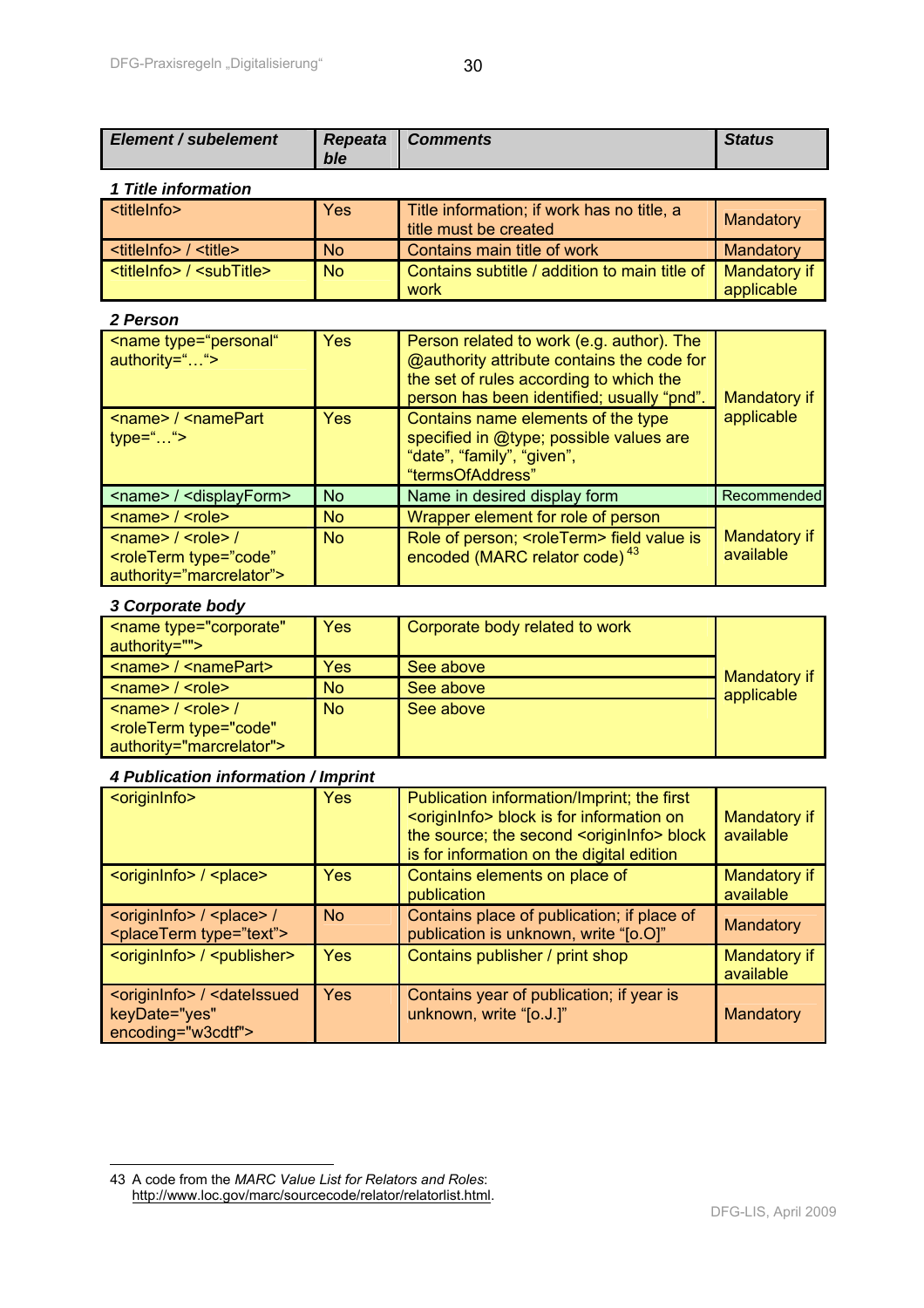| <b>Element / subelement</b>                                     | Repeata<br>ble | <b>Comments</b>                                                                                                                                                                         | <b>Status</b>              |
|-----------------------------------------------------------------|----------------|-----------------------------------------------------------------------------------------------------------------------------------------------------------------------------------------|----------------------------|
| 1 Title information                                             |                |                                                                                                                                                                                         |                            |
| <titleinfo></titleinfo>                                         | Yes            | Title information; if work has no title, a<br>title must be created                                                                                                                     | Mandatory                  |
| <titleinfo> / <title></title></titleinfo>                       | <b>No</b>      | Contains main title of work                                                                                                                                                             | Mandatory                  |
| <titleinfo> / <subtitle></subtitle></titleinfo>                 | <b>No</b>      | Contains subtitle / addition to main title of<br>work                                                                                                                                   | Mandatory if<br>applicable |
| 2 Person                                                        |                |                                                                                                                                                                                         |                            |
| <name <br="" type="personal">authority=""&gt;</name>            | Yes            | Person related to work (e.g. author). The<br><b>@authority attribute contains the code for</b><br>the set of rules according to which the<br>person has been identified; usually "pnd". | Mandatory if               |
| <name> / <namepart<br><math>type=""</math></namepart<br></name> | Yes            | Contains name elements of the type<br>specified in @type; possible values are<br>"date", "family", "given",<br>"termsOfAddress"                                                         | applicable                 |
| <name> / <displayform></displayform></name>                     | No             | Name in desired display form                                                                                                                                                            | Recommended                |
| <name> / <role></role></name>                                   | <b>No</b>      | Wrapper element for role of person                                                                                                                                                      |                            |
| $\langle$ name> / $\langle$ role> /                             | <b>No</b>      | Role of person; <roleterm> field value is</roleterm>                                                                                                                                    | Mandatory if               |

#### *3 Corporate body*

 $\overline{a}$ 

<roleTerm type="code" authority="marcrelator">

| <name <br="" type="corporate">authority=""&gt;</name>                                                | <b>Yes</b> | Corporate body related to work |              |
|------------------------------------------------------------------------------------------------------|------------|--------------------------------|--------------|
| $\leq$ name> / $\leq$ namePart>                                                                      | Yes        | See above                      | Mandatory if |
| <name> / <role></role></name>                                                                        | <b>No</b>  | See above                      | applicable   |
| $\leq$ name> / $\leq$ role> /<br><roleterm <br="" type="code">authority="marcrelator"&gt;</roleterm> | <b>No</b>  | See above                      |              |

encoded (MARC relator code)<sup>43</sup>

#### *4 Publication information / Imprint*

| <origininfo></origininfo>                                                                          | <b>Yes</b>     | Publication information/Imprint; the first<br><origininfo> block is for information on<br/>the source; the second <origininfo> block<br/>is for information on the digital edition</origininfo></origininfo> | Mandatory if<br>available |
|----------------------------------------------------------------------------------------------------|----------------|--------------------------------------------------------------------------------------------------------------------------------------------------------------------------------------------------------------|---------------------------|
| <originlnfo> / <place></place></originlnfo>                                                        | Yes            | Contains elements on place of<br>publication                                                                                                                                                                 | Mandatory if<br>available |
| <origininfo> / <place> /<br/><placeterm type="text"></placeterm></place></origininfo>              | N <sub>o</sub> | Contains place of publication; if place of<br>publication is unknown, write "[o.O]"                                                                                                                          | Mandatory                 |
| <origininfo> / <publisher></publisher></origininfo>                                                | <b>Yes</b>     | Contains publisher / print shop                                                                                                                                                                              | Mandatory if<br>available |
| <origininfo> / <dateissued<br>keyDate="yes"<br/>encoding="w3cdtf"&gt;</dateissued<br></origininfo> | <b>Yes</b>     | Contains year of publication; if year is<br>unknown, write "[o.J.]"                                                                                                                                          | Mandatory                 |

available

<sup>43</sup> A code from the *MARC Value List for Relators and Roles*: http://www.loc.gov/marc/sourcecode/relator/relatorlist.html.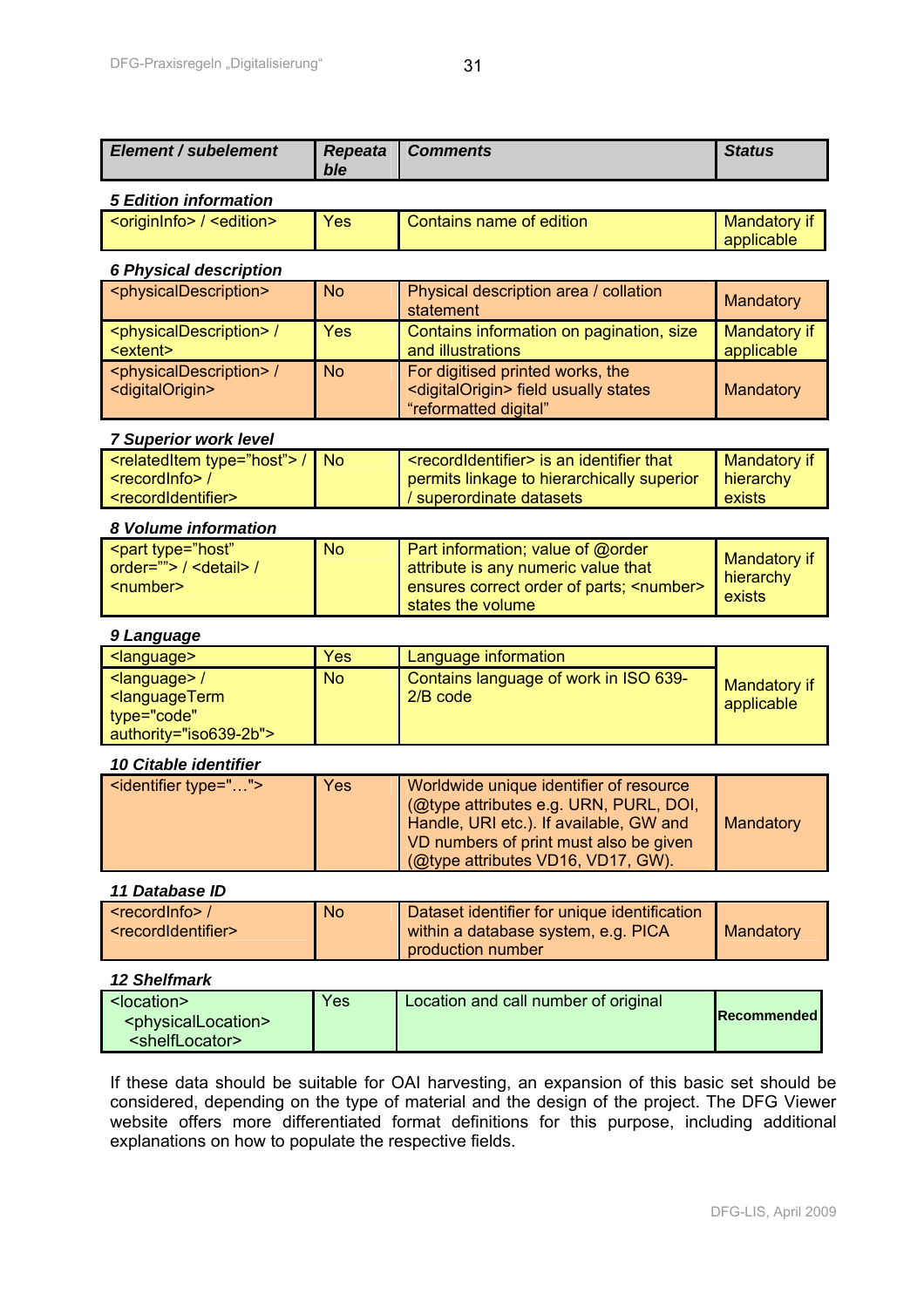| <b>Element / subelement</b>                                                                                                        | <b>Repeata</b>          | <b>Comments</b>                                                                                                                                                                                              | <b>Status</b>                       |  |
|------------------------------------------------------------------------------------------------------------------------------------|-------------------------|--------------------------------------------------------------------------------------------------------------------------------------------------------------------------------------------------------------|-------------------------------------|--|
|                                                                                                                                    | ble                     |                                                                                                                                                                                                              |                                     |  |
| <b>5 Edition information</b>                                                                                                       |                         |                                                                                                                                                                                                              |                                     |  |
| <origininfo> / <edition></edition></origininfo>                                                                                    | Yes                     | Contains name of edition                                                                                                                                                                                     | Mandatory if<br>applicable          |  |
| <b>6 Physical description</b>                                                                                                      |                         |                                                                                                                                                                                                              |                                     |  |
| <physicaldescription></physicaldescription>                                                                                        | <b>No</b>               | Physical description area / collation<br>statement                                                                                                                                                           | Mandatory                           |  |
| <physicaldescription> /<br/><extent></extent></physicaldescription>                                                                | Yes                     | Contains information on pagination, size<br>and illustrations                                                                                                                                                | Mandatory if<br>applicable          |  |
| <physicaldescription> /<br/><digitalorigin></digitalorigin></physicaldescription>                                                  | <b>No</b>               | For digitised printed works, the<br><digitalorigin> field usually states<br/>"reformatted digital"</digitalorigin>                                                                                           | Mandatory                           |  |
| <b>7 Superior work level</b>                                                                                                       |                         |                                                                                                                                                                                                              |                                     |  |
| <relateditem type="host"> /<br/><recordinfo> /<br/><recordidentifier></recordidentifier></recordinfo></relateditem>                | <b>No</b>               | <recordidentifier> is an identifier that<br/>permits linkage to hierarchically superior<br/>superordinate datasets</recordidentifier>                                                                        | Mandatory if<br>hierarchy<br>exists |  |
| 8 Volume information                                                                                                               |                         |                                                                                                                                                                                                              |                                     |  |
| <part <br="" type="host">order=""&gt; / <detail> /<br/><number></number></detail></part>                                           | <b>No</b>               | Part information; value of @order<br>attribute is any numeric value that<br>ensures correct order of parts; <number><br/>states the volume</number>                                                          | Mandatory if<br>hierarchy<br>exists |  |
| 9 Language                                                                                                                         |                         |                                                                                                                                                                                                              |                                     |  |
| <language><br/><language> /<br/><languageterm<br>type="code"<br/>authority="iso639-2b"&gt;</languageterm<br></language></language> | <b>Yes</b><br><b>No</b> | Language information<br>Contains language of work in ISO 639-<br>2/B code                                                                                                                                    | Mandatory if<br>applicable          |  |
| 10 Citable identifier                                                                                                              |                         |                                                                                                                                                                                                              |                                     |  |
| <identifier type=""></identifier>                                                                                                  | Yes                     | Worldwide unique identifier of resource<br>(@type attributes e.g. URN, PURL, DOI,<br>Handle, URI etc.). If available, GW and<br>VD numbers of print must also be given<br>(@type attributes VD16, VD17, GW). | Mandatory                           |  |
| 11 Database ID                                                                                                                     |                         |                                                                                                                                                                                                              |                                     |  |
| <recordinfo>/<br/><recordidentifier></recordidentifier></recordinfo>                                                               | <b>No</b>               | Dataset identifier for unique identification<br>within a database system, e.g. PICA<br>production number                                                                                                     | <b>Mandatory</b>                    |  |

## *12 Shelfmark*

| <location><br/><physicallocation><br/><shelflocator></shelflocator></physicallocation></location> | Yes | Location and call number of original | <b>Recommended</b> |
|---------------------------------------------------------------------------------------------------|-----|--------------------------------------|--------------------|
|---------------------------------------------------------------------------------------------------|-----|--------------------------------------|--------------------|

If these data should be suitable for OAI harvesting, an expansion of this basic set should be considered, depending on the type of material and the design of the project. The DFG Viewer website offers more differentiated format definitions for this purpose, including additional explanations on how to populate the respective fields.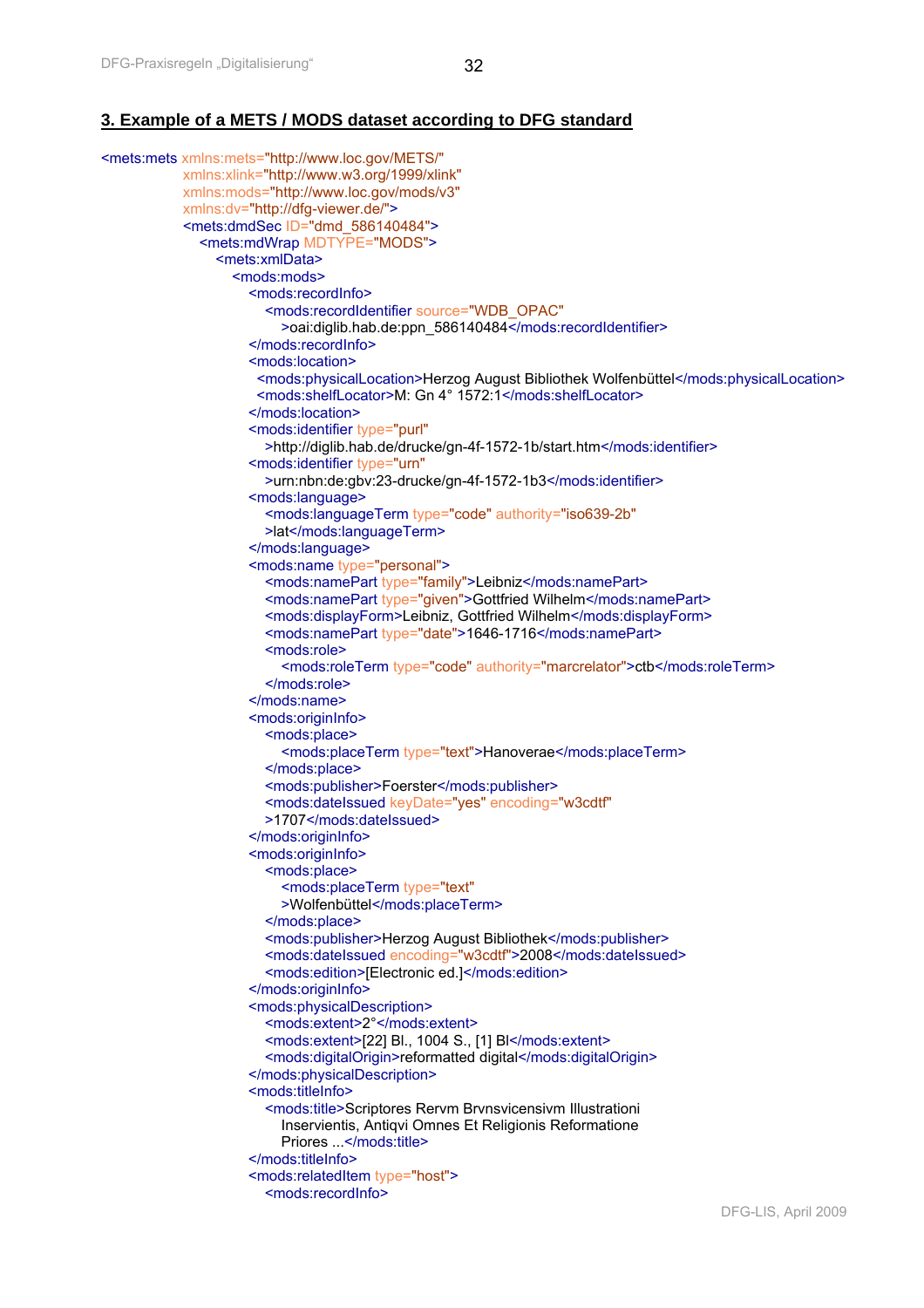## **3. Example of a METS / MODS dataset according to DFG standard**

```
<mets:mets xmlns:mets="http://www.loc.gov/METS/"
           xmlns:xlink="http://www.w3.org/1999/xlink"
           xmlns:mods="http://www.loc.gov/mods/v3"
           xmlns:dv="http://dfg-viewer.de/">
            <mets:dmdSec ID="dmd_586140484">
              <mets:mdWrap MDTYPE="MODS">
                <mets:xmlData>
                  <mods:mods>
                     <mods:recordInfo>
                        <mods:recordIdentifier source="WDB_OPAC"
                         >oai:diglib.hab.de:ppn_586140484</mods:recordIdentifier>
                     </mods:recordInfo> 
                    <mods:location> 
                      <mods:physicalLocation>Herzog August Bibliothek Wolfenbüttel</mods:physicalLocation> 
                      <mods:shelfLocator>M: Gn 4° 1572:1</mods:shelfLocator> 
                     </mods:location>
                     <mods:identifier type="purl"
                        >http://diglib.hab.de/drucke/gn-4f-1572-1b/start.htm</mods:identifier>
                     <mods:identifier type="urn"
                        >urn:nbn:de:gbv:23-drucke/gn-4f-1572-1b3</mods:identifier>
                     <mods:language>
                        <mods:languageTerm type="code" authority="iso639-2b"
                        >lat</mods:languageTerm>
                     </mods:language>
                     <mods:name type="personal">
                        <mods:namePart type="family">Leibniz</mods:namePart>
                        <mods:namePart type="given">Gottfried Wilhelm</mods:namePart>
                        <mods:displayForm>Leibniz, Gottfried Wilhelm</mods:displayForm>
                        <mods:namePart type="date">1646-1716</mods:namePart>
                        <mods:role>
                          <mods:roleTerm type="code" authority="marcrelator">ctb</mods:roleTerm>
                        </mods:role>
                     </mods:name>
                     <mods:originInfo>
                        <mods:place>
                          <mods:placeTerm type="text">Hanoverae</mods:placeTerm>
                        </mods:place>
                        <mods:publisher>Foerster</mods:publisher>
                        <mods:dateIssued keyDate="yes" encoding="w3cdtf"
                        >1707</mods:dateIssued>
                     </mods:originInfo>
                     <mods:originInfo>
                        <mods:place>
                          <mods:placeTerm type="text"
                          >Wolfenbüttel</mods:placeTerm>
                        </mods:place>
                        <mods:publisher>Herzog August Bibliothek</mods:publisher>
                        <mods:dateIssued encoding="w3cdtf">2008</mods:dateIssued>
                        <mods:edition>[Electronic ed.]</mods:edition>
                     </mods:originInfo>
                     <mods:physicalDescription>
                        <mods:extent>2°</mods:extent>
                        <mods:extent>[22] Bl., 1004 S., [1] Bl</mods:extent>
                        <mods:digitalOrigin>reformatted digital</mods:digitalOrigin>
                     </mods:physicalDescription>
                    <mods:titleInfo>
                        <mods:title>Scriptores Rervm Brvnsvicensivm Illustrationi 
                          Inservientis, Antiqvi Omnes Et Religionis Reformatione 
                          Priores ...</mods:title>
                     </mods:titleInfo>
                     <mods:relatedItem type="host">
                        <mods:recordInfo>
```
DFG-LIS, April 2009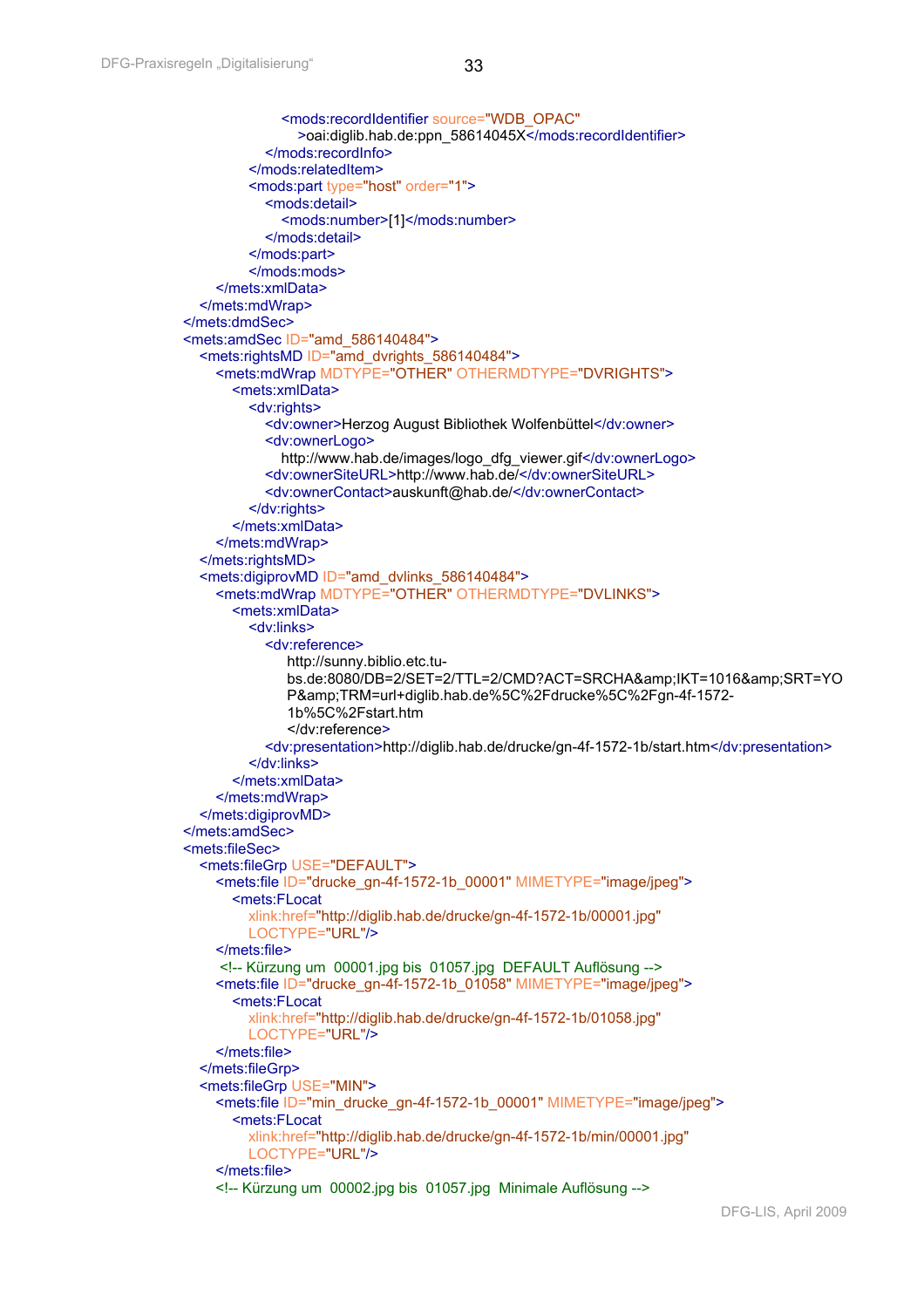```
 <mods:recordIdentifier source="WDB_OPAC"
               >oai:diglib.hab.de:ppn_58614045X</mods:recordIdentifier>
           </mods:recordInfo>
         </mods:relatedItem>
        <mods:part type="host" order="1">
           <mods:detail>
              <mods:number>[1]</mods:number>
           </mods:detail>
         </mods:part>
        </mods:mods>
    </mets:xmlData>
  </mets:mdWrap>
</mets:dmdSec>
<mets:amdSec ID="amd_586140484">
  <mets:rightsMD ID="amd_dvrights_586140484">
    <mets:mdWrap MDTYPE="OTHER" OTHERMDTYPE="DVRIGHTS">
       <mets:xmlData>
         <dv:rights>
           <dv:owner>Herzog August Bibliothek Wolfenbüttel</dv:owner>
          <dv:ownerLogo>
              http://www.hab.de/images/logo_dfg_viewer.gif</dv:ownerLogo>
           <dv:ownerSiteURL>http://www.hab.de/</dv:ownerSiteURL>
          <dv:ownerContact>auskunft@hab.de/</dv:ownerContact>
         </dv:rights>
      </mets:xmlData>
    </mets:mdWrap>
  </mets:rightsMD>
  <mets:digiprovMD ID="amd_dvlinks_586140484">
    <mets:mdWrap MDTYPE="OTHER" OTHERMDTYPE="DVLINKS">
       <mets:xmlData>
         <dv:links>
           <dv:reference> 
             http://sunny.biblio.etc.tu-
             bs.de:8080/DB=2/SET=2/TTL=2/CMD?ACT=SRCHA&IKT=1016&SRT=YO
             P&TRM=url+diglib.hab.de%5C%2Fdrucke%5C%2Fgn-4f-1572-
             1b%5C%2Fstart.htm 
              </dv:reference> 
           <dv:presentation>http://diglib.hab.de/drucke/gn-4f-1572-1b/start.htm</dv:presentation>
         </dv:links>
       </mets:xmlData>
    </mets:mdWrap>
  </mets:digiprovMD>
</mets:amdSec>
<mets:fileSec>
  <mets:fileGrp USE="DEFAULT">
    <mets:file ID="drucke_gn-4f-1572-1b_00001" MIMETYPE="image/jpeg">
       <mets:FLocat 
         xlink:href="http://diglib.hab.de/drucke/gn-4f-1572-1b/00001.jpg"
         LOCTYPE="URL"/>
    </mets:file>
     <!-- Kürzung um 00001.jpg bis 01057.jpg DEFAULT Auflösung -->
    <mets:file ID="drucke_gn-4f-1572-1b_01058" MIMETYPE="image/jpeg">
       <mets:FLocat 
         xlink:href="http://diglib.hab.de/drucke/gn-4f-1572-1b/01058.jpg"
         LOCTYPE="URL"/>
    </mets:file>
  </mets:fileGrp>
 <mets:fileGrp USE="MIN">
   <mets:file ID="min_drucke_gn-4f-1572-1b_00001" MIMETYPE="image/ipeg">
       <mets:FLocat 
         xlink:href="http://diglib.hab.de/drucke/gn-4f-1572-1b/min/00001.jpg"
         LOCTYPE="URL"/>
    </mets:file>
    <!-- Kürzung um 00002.jpg bis 01057.jpg Minimale Auflösung -->
```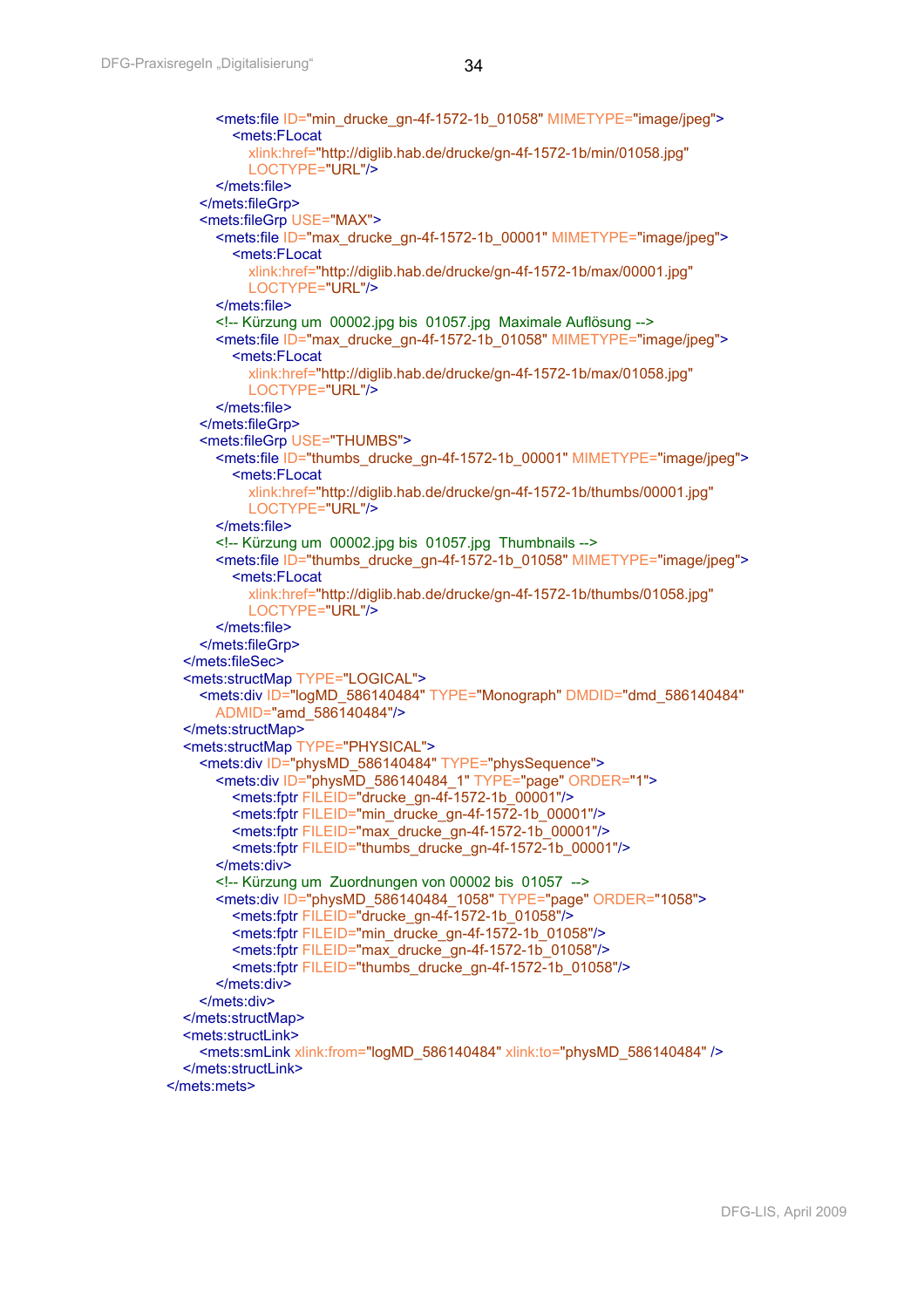```
 <mets:file ID="min_drucke_gn-4f-1572-1b_01058" MIMETYPE="image/jpeg">
         <mets:FLocat 
           xlink:href="http://diglib.hab.de/drucke/gn-4f-1572-1b/min/01058.jpg"
           LOCTYPE="URL"/>
       </mets:file>
    </mets:fileGrp>
    <mets:fileGrp USE="MAX">
       <mets:file ID="max_drucke_gn-4f-1572-1b_00001" MIMETYPE="image/jpeg">
         <mets:FLocat 
           xlink:href="http://diglib.hab.de/drucke/gn-4f-1572-1b/max/00001.jpg"
           LOCTYPE="URL"/>
       </mets:file>
       <!-- Kürzung um 00002.jpg bis 01057.jpg Maximale Auflösung -->
       <mets:file ID="max_drucke_gn-4f-1572-1b_01058" MIMETYPE="image/jpeg">
         <mets:FLocat 
           xlink:href="http://diglib.hab.de/drucke/gn-4f-1572-1b/max/01058.jpg"
           LOCTYPE="URL"/>
       </mets:file>
    </mets:fileGrp>
    <mets:fileGrp USE="THUMBS">
       <mets:file ID="thumbs_drucke_gn-4f-1572-1b_00001" MIMETYPE="image/jpeg">
         <mets:FLocat 
           xlink:href="http://diglib.hab.de/drucke/gn-4f-1572-1b/thumbs/00001.jpg"
           LOCTYPE="URL"/>
       </mets:file>
       <!-- Kürzung um 00002.jpg bis 01057.jpg Thumbnails -->
      <mets:file ID="thumbs_drucke_gn-4f-1572-1b_01058" MIMETYPE="image/jpeg">
         <mets:FLocat 
           xlink:href="http://diglib.hab.de/drucke/gn-4f-1572-1b/thumbs/01058.jpg"
           LOCTYPE="URL"/>
       </mets:file>
    </mets:fileGrp>
  </mets:fileSec>
  <mets:structMap TYPE="LOGICAL">
    <mets:div ID="logMD_586140484" TYPE="Monograph" DMDID="dmd_586140484"
       ADMID="amd_586140484"/>
  </mets:structMap>
  <mets:structMap TYPE="PHYSICAL">
   <mets:div ID="physMD_586140484" TYPE="physSequence">
       <mets:div ID="physMD_586140484_1" TYPE="page" ORDER="1">
         <mets:fptr FILEID="drucke_gn-4f-1572-1b_00001"/>
         <mets:fptr FILEID="min_drucke_gn-4f-1572-1b_00001"/>
         <mets:fptr FILEID="max_drucke_gn-4f-1572-1b_00001"/>
         <mets:fptr FILEID="thumbs_drucke_gn-4f-1572-1b_00001"/>
       </mets:div>
       <!-- Kürzung um Zuordnungen von 00002 bis 01057 -->
       <mets:div ID="physMD_586140484_1058" TYPE="page" ORDER="1058">
         <mets:fptr FILEID="drucke_gn-4f-1572-1b_01058"/>
         <mets:fptr FILEID="min_drucke_gn-4f-1572-1b_01058"/>
         <mets:fptr FILEID="max_drucke_gn-4f-1572-1b_01058"/>
         <mets:fptr FILEID="thumbs_drucke_gn-4f-1572-1b_01058"/>
       </mets:div>
    </mets:div>
  </mets:structMap>
  <mets:structLink>
    <mets:smLink xlink:from="logMD_586140484" xlink:to="physMD_586140484" />
  </mets:structLink>
</mets:mets>
```